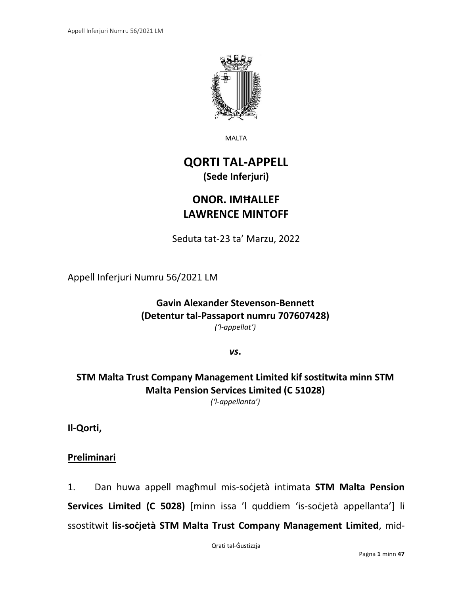

MALTA

# **QORTI TAL-APPELL (Sede Inferjuri)**

# **ONOR. IMĦALLEF LAWRENCE MINTOFF**

Seduta tat-23 ta' Marzu, 2022

Appell Inferjuri Numru 56/2021 LM

**Gavin Alexander Stevenson-Bennett (Detentur tal-Passaport numru 707607428)** *('l-appellat')*

*vs***.**

### **STM Malta Trust Company Management Limited kif sostitwita minn STM Malta Pension Services Limited (C 51028)** *('l-appellanta')*

**Il-Qorti,**

## **Preliminari**

1. Dan huwa appell magħmul mis-soċjetà intimata **STM Malta Pension Services Limited (C 5028)** [minn issa 'l quddiem 'is-soċjetà appellanta'] li ssostitwit **lis-soċjetà STM Malta Trust Company Management Limited**, mid-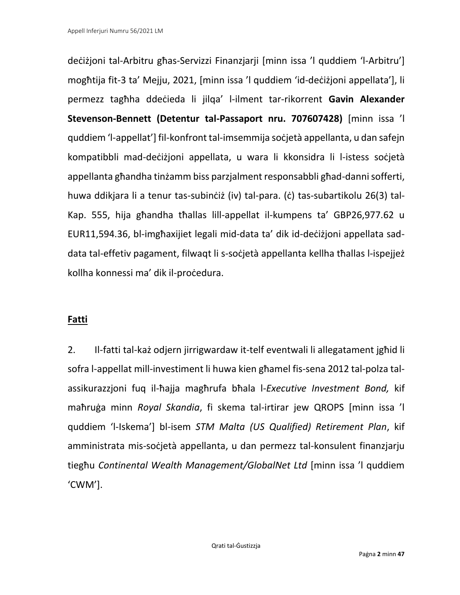deċiżjoni tal-Arbitru għas-Servizzi Finanzjarji [minn issa 'l quddiem 'l-Arbitru'] mogħtija fit-3 ta' Mejju, 2021, [minn issa 'l quddiem 'id-deċiżjoni appellata'], li permezz tagħha ddeċieda li jilqa' l-ilment tar-rikorrent **Gavin Alexander Stevenson-Bennett (Detentur tal-Passaport nru. 707607428)** [minn issa 'l quddiem 'l-appellat'] fil-konfront tal-imsemmija soċjetà appellanta, u dan safejn kompatibbli mad-deċiżjoni appellata, u wara li kkonsidra li l-istess soċjetà appellanta għandha tinżamm biss parzjalment responsabbli għad-danni sofferti, huwa ddikjara li a tenur tas-subinċiż (iv) tal-para. (ċ) tas-subartikolu 26(3) tal-Kap. 555, hija għandha tħallas lill-appellat il-kumpens ta' GBP26,977.62 u EUR11,594.36, bl-imgħaxijiet legali mid-data ta' dik id-deċiżjoni appellata saddata tal-effetiv pagament, filwaqt li s-soċjetà appellanta kellha tħallas l-ispejjeż kollha konnessi ma' dik il-procedura.

## **Fatti**

2. Il-fatti tal-każ odjern jirrigwardaw it-telf eventwali li allegatament jgħid li sofra l-appellat mill-investiment li huwa kien għamel fis-sena 2012 tal-polza talassikurazzjoni fuq il-ħajja magħrufa bħala l-*Executive Investment Bond,* kif maħruġa minn *Royal Skandia*, fi skema tal-irtirar jew QROPS [minn issa 'l quddiem 'l-Iskema'] bl-isem *STM Malta (US Qualified) Retirement Plan*, kif amministrata mis-soċjetà appellanta, u dan permezz tal-konsulent finanzjarju tiegħu *Continental Wealth Management/GlobalNet Ltd* [minn issa 'l quddiem 'CWM'].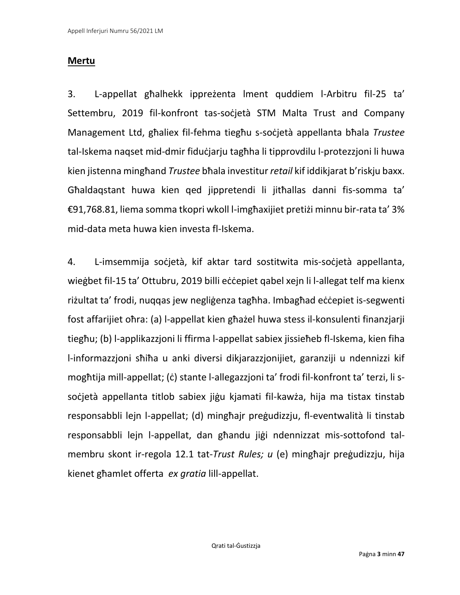## **Mertu**

3. L-appellat għalhekk ippreżenta lment quddiem l-Arbitru fil-25 ta' Settembru, 2019 fil-konfront tas-socjetà STM Malta Trust and Company Management Ltd, għaliex fil-fehma tiegħu s-soċjetà appellanta bħala *Trustee*  tal-Iskema naqset mid-dmir fiduċjarju tagħha li tipprovdilu l-protezzjoni li huwa kien jistenna mingħand *Trustee* bħala investitur *retail* kif iddikjarat b'riskju baxx. Għaldaqstant huwa kien qed jippretendi li jitħallas danni fis-somma ta' €91,768.81, liema somma tkopri wkoll l-imgħaxijiet pretiżi minnu bir-rata ta' 3% mid-data meta huwa kien investa fl-Iskema.

4. L-imsemmija soċjetà, kif aktar tard sostitwita mis-soċjetà appellanta, wiegbet fil-15 ta' Ottubru, 2019 billi eċċepiet qabel xejn li l-allegat telf ma kienx riżultat ta' frodi, nuqqas jew negliġenza tagħha. Imbagħad eċċepiet is-segwenti fost affarijiet oħra: (a) l-appellat kien għażel huwa stess il-konsulenti finanzjarji tiegħu; (b) l-applikazzjoni li ffirma l-appellat sabiex jissieħeb fl-Iskema, kien fiha l-informazzjoni sħiħa u anki diversi dikjarazzjonijiet, garanziji u ndennizzi kif mogħtija mill-appellat; (ċ) stante l-allegazzjoni ta' frodi fil-konfront ta' terzi, li ssoċjetà appellanta titlob sabiex jiġu kjamati fil-kawża, hija ma tistax tinstab responsabbli lejn l-appellat; (d) mingħajr preġudizzju, fl-eventwalità li tinstab responsabbli lejn l-appellat, dan għandu jiġi ndennizzat mis-sottofond talmembru skont ir-regola 12.1 tat-*Trust Rules; u* (e) mingħajr preġudizzju, hija kienet għamlet offerta *ex gratia* lill-appellat.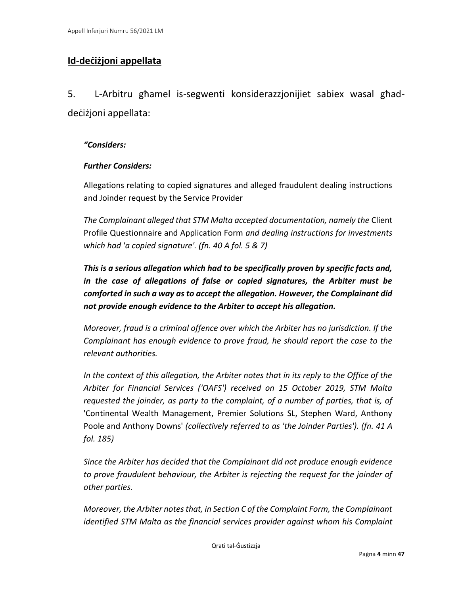## **Id-deċiżjoni appellata**

5. L-Arbitru għamel is-segwenti konsiderazzjonijiet sabiex wasal għaddeċiżjoni appellata:

#### *"Considers:*

#### *Further Considers:*

Allegations relating to copied signatures and alleged fraudulent dealing instructions and Joinder request by the Service Provider

*The Complainant alleged that STM Malta accepted documentation, namely the* Client Profile Questionnaire and Application Form *and dealing instructions for investments which had 'a copied signature'. (fn. 40 A fol. 5 & 7)*

*This is a serious allegation which had to be specifically proven by specific facts and, in the case of allegations of false or copied signatures, the Arbiter must be comforted in such a way as to accept the allegation. However, the Complainant did not provide enough evidence to the Arbiter to accept his allegation.* 

*Moreover, fraud is a criminal offence over which the Arbiter has no jurisdiction. If the Complainant has enough evidence to prove fraud, he should report the case to the relevant authorities.* 

*In the context of this allegation, the Arbiter notes that in its reply to the Office of the Arbiter for Financial Services ('OAFS') received on 15 October 2019, STM Malta requested the joinder, as party to the complaint, of a number of parties, that is, of*  'Continental Wealth Management, Premier Solutions SL, Stephen Ward, Anthony Poole and Anthony Downs' *(collectively referred to as 'the Joinder Parties'). (fn. 41 A fol. 185)*

*Since the Arbiter has decided that the Complainant did not produce enough evidence to prove fraudulent behaviour, the Arbiter is rejecting the request for the joinder of other parties.* 

*Moreover, the Arbiter notes that, in Section C of the Complaint Form, the Complainant identified STM Malta as the financial services provider against whom his Complaint*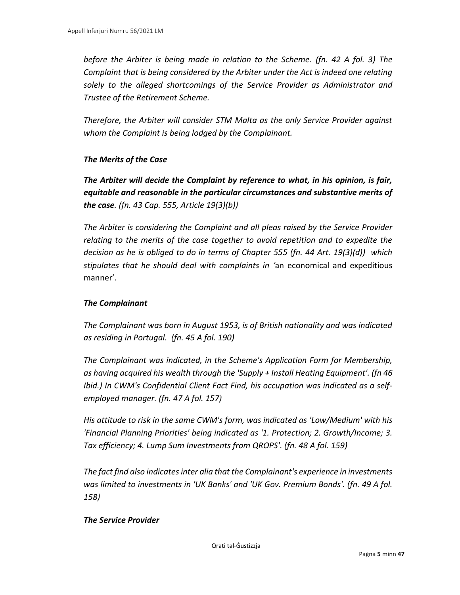*before the Arbiter is being made in relation to the Scheme. (fn. 42 A fol. 3) The Complaint that is being considered by the Arbiter under the Act is indeed one relating solely to the alleged shortcomings of the Service Provider as Administrator and Trustee of the Retirement Scheme.* 

*Therefore, the Arbiter will consider STM Malta as the only Service Provider against whom the Complaint is being lodged by the Complainant.* 

#### *The Merits of the Case*

*The Arbiter will decide the Complaint by reference to what, in his opinion, is fair, equitable and reasonable in the particular circumstances and substantive merits of the case. (fn. 43 Cap. 555, Article 19(3)(b))*

*The Arbiter is considering the Complaint and all pleas raised by the Service Provider relating to the merits of the case together to avoid repetition and to expedite the decision as he is obliged to do in terms of Chapter 555 (fn. 44 Art. 19(3)(d)) which stipulates that he should deal with complaints in '*an economical and expeditious manner'.

#### *The Complainant*

*The Complainant was born in August 1953, is of British nationality and was indicated as residing in Portugal. (fn. 45 A fol. 190)*

*The Complainant was indicated, in the Scheme's Application Form for Membership, as having acquired his wealth through the 'Supply + Install Heating Equipment'. (fn 46 Ibid.) In CWM's Confidential Client Fact Find, his occupation was indicated as a selfemployed manager. (fn. 47 A fol. 157)*

*His attitude to risk in the same CWM's form, was indicated as 'Low/Medium' with his 'Financial Planning Priorities' being indicated as '1. Protection; 2. Growth/Income; 3. Tax efficiency; 4. Lump Sum Investments from QROPS'. (fn. 48 A fol. 159)*

*The fact find also indicates inter alia that the Complainant's experience in investments was limited to investments in 'UK Banks' and 'UK Gov. Premium Bonds'. (fn. 49 A fol. 158)*

#### *The Service Provider*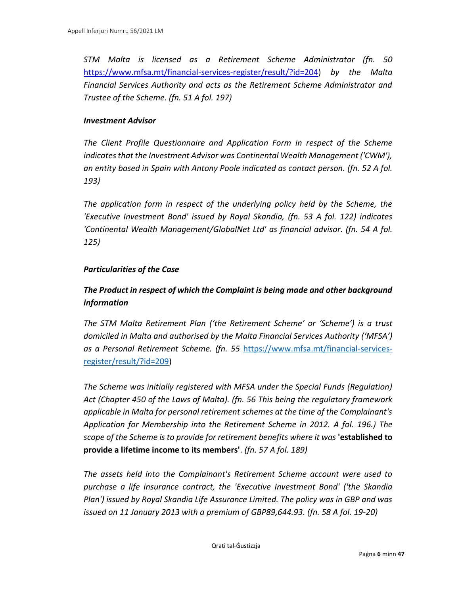*STM Malta is licensed as a Retirement Scheme Administrator (fn. 50*  [https://www.mfsa.mt/financial-services-register/result/?id=204\)](https://www.mfsa.mt/financial-services-register/result/?id=204) *by the Malta Financial Services Authority and acts as the Retirement Scheme Administrator and Trustee of the Scheme. (fn. 51 A fol. 197)*

#### *Investment Advisor*

*The Client Profile Questionnaire and Application Form in respect of the Scheme indicates that the Investment Advisor was Continental Wealth Management ('CWM'), an entity based in Spain with Antony Poole indicated as contact person. (fn. 52 A fol. 193)*

*The application form in respect of the underlying policy held by the Scheme, the 'Executive Investment Bond' issued by Royal Skandia, (fn. 53 A fol. 122) indicates 'Continental Wealth Management/GlobalNet Ltd' as financial advisor. (fn. 54 A fol. 125)*

#### *Particularities of the Case*

### *The Product in respect of which the Complaint is being made and other background information*

*The STM Malta Retirement Plan ('the Retirement Scheme' or 'Scheme') is a trust domiciled in Malta and authorised by the Malta Financial Services Authority ('MFSA') as a Personal Retirement Scheme. (fn. 55* [https://www.mfsa.mt/financial-services](https://www.mfsa.mt/financial-services-register/result/?id=209)[register/result/?id=209\)](https://www.mfsa.mt/financial-services-register/result/?id=209)

*The Scheme was initially registered with MFSA under the Special Funds (Regulation) Act (Chapter 450 of the Laws of Malta). (fn. 56 This being the regulatory framework applicable in Malta for personal retirement schemes at the time of the Complainant's Application for Membership into the Retirement Scheme in 2012. A fol. 196.) The scope of the Scheme is to provide for retirement benefits where it was* **'established to provide a lifetime income to its members'**. *(fn. 57 A fol. 189)*

*The assets held into the Complainant's Retirement Scheme account were used to purchase a life insurance contract, the 'Executive Investment Bond' ('the Skandia Plan') issued by Royal Skandia Life Assurance Limited. The policy was in GBP and was issued on 11 January 2013 with a premium of GBP89,644.93. (fn. 58 A fol. 19-20)*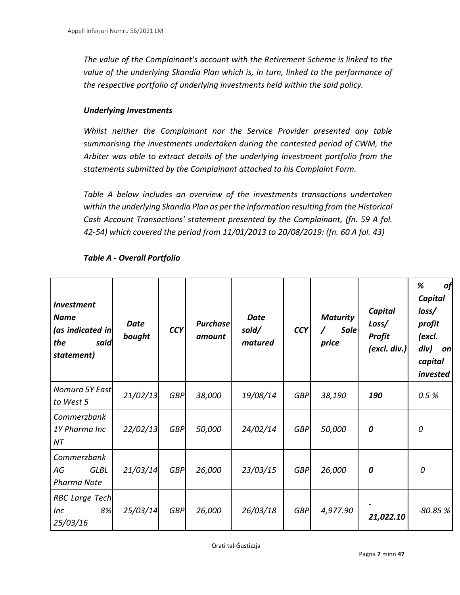*The value of the Complainant's account with the Retirement Scheme is linked to the value of the underlying Skandia Plan which is, in turn, linked to the performance of the respective portfolio of underlying investments held within the said policy.* 

#### *Underlying Investments*

*Whilst neither the Complainant nor the Service Provider presented any table summarising the investments undertaken during the contested period of CWM, the Arbiter was able to extract details of the underlying investment portfolio from the statements submitted by the Complainant attached to his Complaint Form.* 

*Table A below includes an overview of the investments transactions undertaken within the underlying Skandia Plan as per the information resulting from the Historical Cash Account Transactions' statement presented by the Complainant, (fn. 59 A fol. 42-54) which covered the period from 11/01/2013 to 20/08/2019: (fn. 60 A fol. 43)*

| <b>Investment</b><br><b>Name</b><br>(as indicated in<br>the<br>said<br>statement) | <b>Date</b><br>bought | <b>CCY</b> | <b>Purchase</b><br>amount | <b>Date</b><br>sold/<br>matured | <b>CCY</b> | <b>Maturity</b><br><b>Sale</b><br>price | Capital<br>Loss/<br><b>Profit</b><br>(excl. div.) | %<br>of<br><b>Capital</b><br>loss/<br>profit<br>(excl.<br>div)<br>on<br>capital<br>invested |
|-----------------------------------------------------------------------------------|-----------------------|------------|---------------------------|---------------------------------|------------|-----------------------------------------|---------------------------------------------------|---------------------------------------------------------------------------------------------|
| Nomura 5Y East<br>to West 5                                                       | 21/02/13              | <b>GBP</b> | 38,000                    | 19/08/14                        | <b>GBP</b> | 38,190                                  | 190                                               | 0.5%                                                                                        |
| Commerzbank<br>1Y Pharma Inc<br>NT                                                | 22/02/13              | <b>GBP</b> | 50,000                    | 24/02/14                        | <b>GBP</b> | 50,000                                  | 0                                                 | 0                                                                                           |
| Commerzbank<br>AG<br><b>GLBL</b><br>Pharma Note                                   | 21/03/14              | <b>GBP</b> | 26,000                    | 23/03/15                        | <b>GBP</b> | 26,000                                  | 0                                                 | 0                                                                                           |
| <b>RBC</b> Large Tech<br>8%<br>Inc<br>25/03/16                                    | 25/03/14              | <b>GBP</b> | 26,000                    | 26/03/18                        | <b>GBP</b> | 4,977.90                                | 21,022.10                                         | $-80.85%$                                                                                   |

#### *Table A - Overall Portfolio*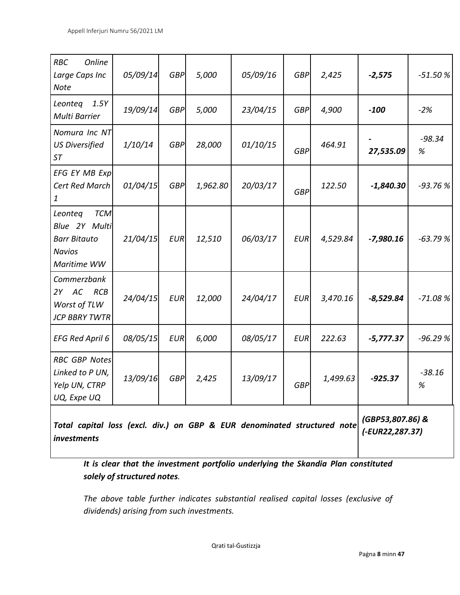| <b>RBC</b><br>Online<br>Large Caps Inc<br>Note                                                | 05/09/14 | <b>GBP</b> | 5,000    | 05/09/16 | <b>GBP</b> | 2,425                               | $-2,575$    | $-51.50%$     |
|-----------------------------------------------------------------------------------------------|----------|------------|----------|----------|------------|-------------------------------------|-------------|---------------|
| Leonteg<br>1.5Y<br>Multi Barrier                                                              | 19/09/14 | <b>GBP</b> | 5,000    | 23/04/15 | <b>GBP</b> | 4,900                               | $-100$      | $-2%$         |
| Nomura Inc NT<br><b>US Diversified</b><br><b>ST</b>                                           | 1/10/14  | <b>GBP</b> | 28,000   | 01/10/15 | <b>GBP</b> | 464.91                              | 27,535.09   | $-98.34$<br>% |
| EFG EY MB Exp<br>Cert Red March<br>1                                                          | 01/04/15 | <b>GBP</b> | 1,962.80 | 20/03/17 | <b>GBP</b> | 122.50                              | $-1,840.30$ | $-93.76%$     |
| <b>TCM</b><br>Leonteg<br>Blue 2Y Multi<br><b>Barr Bitauto</b><br><b>Navios</b><br>Maritime WW | 21/04/15 | <b>EUR</b> | 12,510   | 06/03/17 | <b>EUR</b> | 4,529.84                            | $-7,980.16$ | $-63.79%$     |
| Commerzbank<br>2Y AC<br>RCB<br>Worst of TLW<br><b>JCP BBRY TWTR</b>                           | 24/04/15 | <b>EUR</b> | 12,000   | 24/04/17 | <b>EUR</b> | 3,470.16                            | $-8,529.84$ | $-71.08%$     |
| <b>EFG Red April 6</b>                                                                        | 08/05/15 | <b>EUR</b> | 6,000    | 08/05/17 | <b>EUR</b> | 222.63                              | $-5,777.37$ | $-96.29%$     |
| <b>RBC GBP Notes</b><br>Linked to P UN,<br>Yelp UN, CTRP<br>UQ, Expe UQ                       | 13/09/16 | <b>GBP</b> | 2,425    | 13/09/17 | <b>GBP</b> | 1,499.63                            | $-925.37$   | $-38.16$<br>% |
| Total capital loss (excl. div.) on GBP & EUR denominated structured note<br>investments       |          |            |          |          |            | (GBP53,807.86) &<br>(-EUR22,287.37) |             |               |

*It is clear that the investment portfolio underlying the Skandia Plan constituted solely of structured notes.* 

*The above table further indicates substantial realised capital losses (exclusive of dividends) arising from such investments.*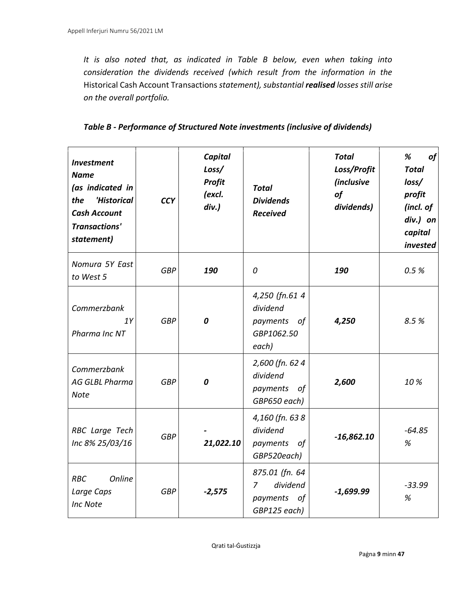*It is also noted that, as indicated in Table B below, even when taking into consideration the dividends received (which result from the information in the*  Historical Cash Account Transactions *statement), substantial realised losses still arise on the overall portfolio.* 

| Table B - Performance of Structured Note investments (inclusive of dividends) |  |
|-------------------------------------------------------------------------------|--|
|-------------------------------------------------------------------------------|--|

| <b>Investment</b><br><b>Name</b><br>(as indicated in<br>the<br>'Historical<br><b>Cash Account</b><br><b>Transactions'</b><br>statement) | <b>CCY</b> | Capital<br>Loss/<br><b>Profit</b><br>(excl.<br>$div.$ ) | <b>Total</b><br><b>Dividends</b><br><b>Received</b>              | <b>Total</b><br>Loss/Profit<br><i>(inclusive</i><br>of<br>dividends) | %<br>of<br><b>Total</b><br>loss/<br>profit<br>(incl. of<br>div.) on<br>capital<br>invested |
|-----------------------------------------------------------------------------------------------------------------------------------------|------------|---------------------------------------------------------|------------------------------------------------------------------|----------------------------------------------------------------------|--------------------------------------------------------------------------------------------|
| Nomura 5Y East<br>to West 5                                                                                                             | <b>GBP</b> | 190                                                     | 0                                                                | 190                                                                  | 0.5%                                                                                       |
| Commerzbank<br>1Y<br>Pharma Inc NT                                                                                                      | <b>GBP</b> | 0                                                       | 4,250 (fn.61 4<br>dividend<br>payments of<br>GBP1062.50<br>each) | 4,250                                                                | 8.5%                                                                                       |
| Commerzbank<br><b>AG GLBL Pharma</b><br><b>Note</b>                                                                                     | <b>GBP</b> | 0                                                       | 2,600 (fn. 624<br>dividend<br>payments<br>of<br>GBP650 each)     | 2,600                                                                | 10%                                                                                        |
| RBC Large Tech<br>Inc 8% 25/03/16                                                                                                       | <b>GBP</b> | 21,022.10                                               | 4,160 (fn. 638<br>dividend<br>payments<br>οf<br>GBP520each)      | $-16,862.10$                                                         | $-64.85$<br>%                                                                              |
| Online<br><b>RBC</b><br>Large Caps<br>Inc Note                                                                                          | <b>GBP</b> | $-2,575$                                                | 875.01 (fn. 64<br>dividend<br>7<br>payments of<br>GBP125 each)   | $-1,699.99$                                                          | $-33.99$<br>%                                                                              |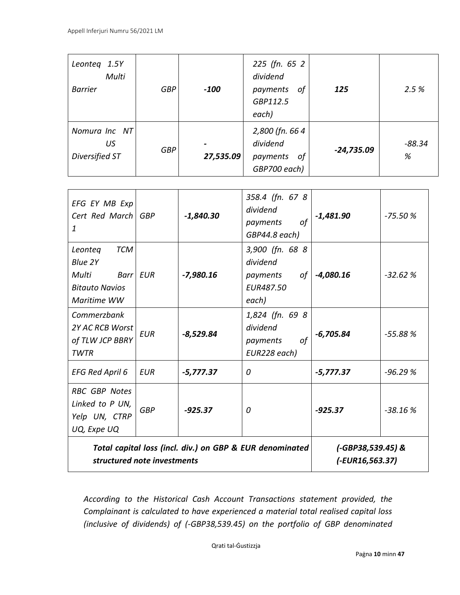| Leonteg 1.5Y<br>Multi<br><b>Barrier</b> | <b>GBP</b> | $-100$    | 225 (fn. 65 2)<br>dividend<br>οf<br>payments<br>GBP112.5<br>each) | 125          | 2.5%          |
|-----------------------------------------|------------|-----------|-------------------------------------------------------------------|--------------|---------------|
| Nomura Inc NT<br>US<br>Diversified ST   | <b>GBP</b> | 27,535.09 | 2,800 (fn. 664)<br>dividend<br>payments<br>οf<br>GBP700 each)     | $-24,735.09$ | $-88.34$<br>% |

| Total capital loss (incl. div.) on GBP & EUR denominated<br>structured note investments  |            |             |                                                                     | $(-GBP38,539.45)$ &<br>(-EUR16,563.37) |           |
|------------------------------------------------------------------------------------------|------------|-------------|---------------------------------------------------------------------|----------------------------------------|-----------|
| <b>RBC GBP Notes</b><br>Linked to P UN,<br>Yelp UN, CTRP<br>UQ, Expe UQ                  | <b>GBP</b> | $-925.37$   | 0                                                                   | $-925.37$                              | $-38.16%$ |
| <b>EFG Red April 6</b>                                                                   | EUR        | $-5,777.37$ | 0                                                                   | $-5,777.37$                            | $-96.29%$ |
| Commerzbank<br>2Y AC RCB Worst<br>of TLW JCP BBRY<br><b>TWTR</b>                         | EUR        | $-8,529.84$ | 1,824 (fn. 69 8<br>dividend<br>of<br>payments<br>EUR228 each)       | $-6,705.84$                            | $-55.88%$ |
| TCM<br>Leonteg<br>Blue 2Y<br>Multi<br>Barr   EUR<br><b>Bitauto Navios</b><br>Maritime WW |            | $-7,980.16$ | 3,900 (fn. 68 8<br>dividend<br>of<br>payments<br>EUR487.50<br>each) | $-4,080.16$                            | $-32.62%$ |
| EFG EY MB Exp<br>Cert Red March GBP<br>1                                                 |            | $-1,840.30$ | 358.4 (fn. 67 8<br>dividend<br>of<br>payments<br>GBP44.8 each)      | $-1,481.90$                            | $-75.50%$ |

*According to the Historical Cash Account Transactions statement provided, the Complainant is calculated to have experienced a material total realised capital loss (inclusive of dividends) of (-GBP38,539.45) on the portfolio of GBP denominated*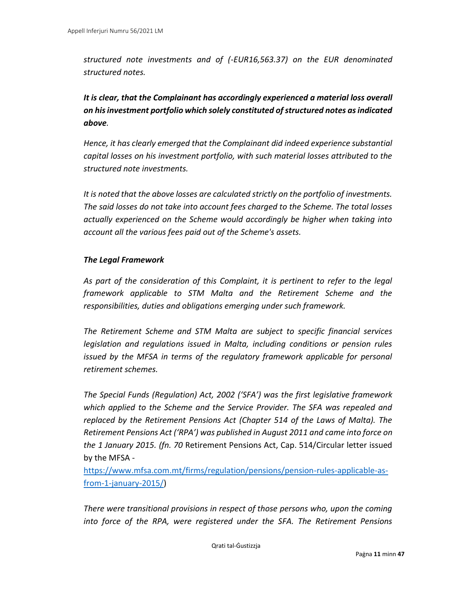*structured note investments and of (-EUR16,563.37) on the EUR denominated structured notes.* 

*It is clear, that the Complainant has accordingly experienced a material loss overall on his investment portfolio which solely constituted of structured notes as indicated above.* 

*Hence, it has clearly emerged that the Complainant did indeed experience substantial capital losses on his investment portfolio, with such material losses attributed to the structured note investments.* 

*It is noted that the above losses are calculated strictly on the portfolio of investments. The said losses do not take into account fees charged to the Scheme. The total losses actually experienced on the Scheme would accordingly be higher when taking into account all the various fees paid out of the Scheme's assets.* 

#### *The Legal Framework*

*As part of the consideration of this Complaint, it is pertinent to refer to the legal framework applicable to STM Malta and the Retirement Scheme and the responsibilities, duties and obligations emerging under such framework.* 

*The Retirement Scheme and STM Malta are subject to specific financial services legislation and regulations issued in Malta, including conditions or pension rules issued by the MFSA in terms of the regulatory framework applicable for personal retirement schemes.* 

*The Special Funds (Regulation) Act, 2002 ('SFA') was the first legislative framework which applied to the Scheme and the Service Provider. The SFA was repealed and replaced by the Retirement Pensions Act (Chapter 514 of the Laws of Malta). The Retirement Pensions Act ('RPA') was published in August 2011 and came into force on the 1 January 2015. (fn. 70* Retirement Pensions Act, Cap. 514/Circular letter issued by the MFSA -

[https://www.mfsa.com.mt/firms/regulation/pensions/pension-rules-applicable-as](https://www.mfsa.com.mt/firms/regulation/pensions/pension-rules-applicable-as-from-1-january-2015/)[from-1-january-2015/\)](https://www.mfsa.com.mt/firms/regulation/pensions/pension-rules-applicable-as-from-1-january-2015/)

*There were transitional provisions in respect of those persons who, upon the coming into force of the RPA, were registered under the SFA. The Retirement Pensions*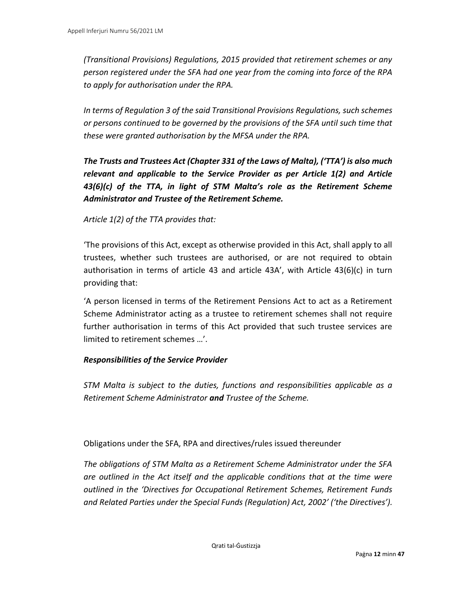*(Transitional Provisions) Regulations, 2015 provided that retirement schemes or any person registered under the SFA had one year from the coming into force of the RPA to apply for authorisation under the RPA.* 

*In terms of Regulation 3 of the said Transitional Provisions Regulations, such schemes or persons continued to be governed by the provisions of the SFA until such time that these were granted authorisation by the MFSA under the RPA.* 

*The Trusts and Trustees Act (Chapter 331 of the Laws of Malta), ('TTA') is also much relevant and applicable to the Service Provider as per Article 1(2) and Article 43(6)(c) of the TTA, in light of STM Malta's role as the Retirement Scheme Administrator and Trustee of the Retirement Scheme.* 

#### *Article 1(2) of the TTA provides that:*

'The provisions of this Act, except as otherwise provided in this Act, shall apply to all trustees, whether such trustees are authorised, or are not required to obtain authorisation in terms of article 43 and article 43A', with Article 43(6)(c) in turn providing that:

'A person licensed in terms of the Retirement Pensions Act to act as a Retirement Scheme Administrator acting as a trustee to retirement schemes shall not require further authorisation in terms of this Act provided that such trustee services are limited to retirement schemes …'.

#### *Responsibilities of the Service Provider*

*STM Malta is subject to the duties, functions and responsibilities applicable as a Retirement Scheme Administrator and Trustee of the Scheme.* 

Obligations under the SFA, RPA and directives/rules issued thereunder

*The obligations of STM Malta as a Retirement Scheme Administrator under the SFA are outlined in the Act itself and the applicable conditions that at the time were outlined in the 'Directives for Occupational Retirement Schemes, Retirement Funds and Related Parties under the Special Funds (Regulation) Act, 2002' ('the Directives').*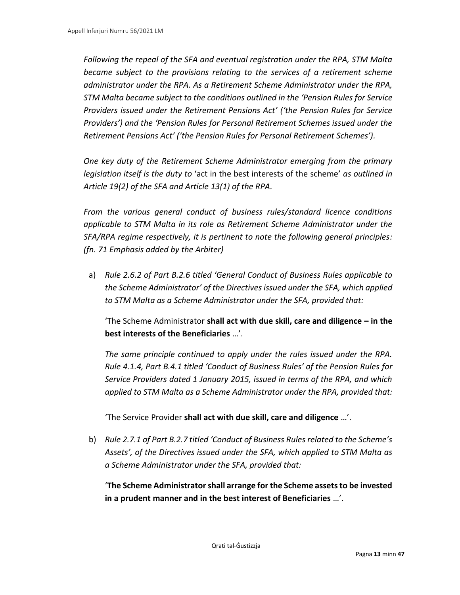*Following the repeal of the SFA and eventual registration under the RPA, STM Malta became subject to the provisions relating to the services of a retirement scheme administrator under the RPA. As a Retirement Scheme Administrator under the RPA, STM Malta became subject to the conditions outlined in the 'Pension Rules for Service Providers issued under the Retirement Pensions Act' ('the Pension Rules for Service Providers') and the 'Pension Rules for Personal Retirement Schemes issued under the Retirement Pensions Act' ('the Pension Rules for Personal Retirement Schemes').* 

*One key duty of the Retirement Scheme Administrator emerging from the primary legislation itself is the duty to* 'act in the best interests of the scheme' *as outlined in Article 19(2) of the SFA and Article 13(1) of the RPA.* 

*From the various general conduct of business rules/standard licence conditions applicable to STM Malta in its role as Retirement Scheme Administrator under the SFA/RPA regime respectively, it is pertinent to note the following general principles: (fn. 71 Emphasis added by the Arbiter)*

a) *Rule 2.6.2 of Part B.2.6 titled 'General Conduct of Business Rules applicable to the Scheme Administrator' of the Directives issued under the SFA, which applied to STM Malta as a Scheme Administrator under the SFA, provided that:* 

'The Scheme Administrator **shall act with due skill, care and diligence – in the best interests of the Beneficiaries** …'.

*The same principle continued to apply under the rules issued under the RPA. Rule 4.1.4, Part B.4.1 titled 'Conduct of Business Rules' of the Pension Rules for Service Providers dated 1 January 2015, issued in terms of the RPA, and which applied to STM Malta as a Scheme Administrator under the RPA, provided that:* 

'The Service Provider **shall act with due skill, care and diligence** …'.

b) *Rule 2.7.1 of Part B.2.7 titled 'Conduct of Business Rules related to the Scheme's Assets', of the Directives issued under the SFA, which applied to STM Malta as a Scheme Administrator under the SFA, provided that:* 

'**The Scheme Administrator shall arrange for the Scheme assets to be invested in a prudent manner and in the best interest of Beneficiaries** …'.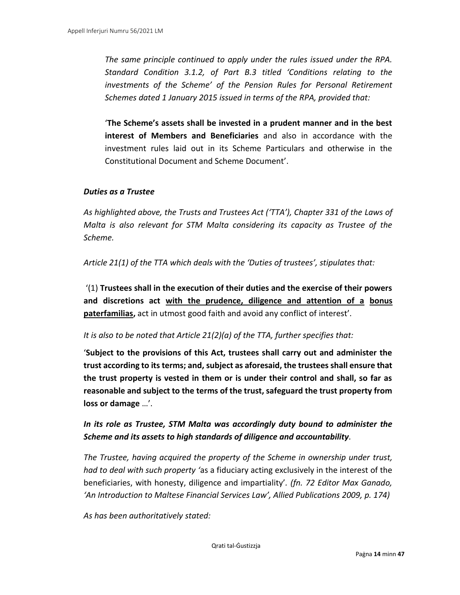*The same principle continued to apply under the rules issued under the RPA. Standard Condition 3.1.2, of Part B.3 titled 'Conditions relating to the investments of the Scheme' of the Pension Rules for Personal Retirement Schemes dated 1 January 2015 issued in terms of the RPA, provided that:* 

'**The Scheme's assets shall be invested in a prudent manner and in the best interest of Members and Beneficiaries** and also in accordance with the investment rules laid out in its Scheme Particulars and otherwise in the Constitutional Document and Scheme Document'.

#### *Duties as a Trustee*

As highlighted above, the Trusts and Trustees Act ('TTA'), Chapter 331 of the Laws of *Malta is also relevant for STM Malta considering its capacity as Trustee of the Scheme.* 

*Article 21(1) of the TTA which deals with the 'Duties of trustees', stipulates that:* 

'(1) **Trustees shall in the execution of their duties and the exercise of their powers and discretions act with the prudence, diligence and attention of a bonus paterfamilias,** act in utmost good faith and avoid any conflict of interest'.

*It is also to be noted that Article 21(2)(a) of the TTA, further specifies that:* 

'**Subject to the provisions of this Act, trustees shall carry out and administer the trust according to its terms; and, subject as aforesaid, the trustees shall ensure that the trust property is vested in them or is under their control and shall, so far as reasonable and subject to the terms of the trust, safeguard the trust property from loss or damage** …'.

*In its role as Trustee, STM Malta was accordingly duty bound to administer the Scheme and its assets to high standards of diligence and accountability.* 

*The Trustee, having acquired the property of the Scheme in ownership under trust, had to deal with such property '*as a fiduciary acting exclusively in the interest of the beneficiaries, with honesty, diligence and impartiality'*. (fn. 72 Editor Max Ganado, 'An Introduction to Maltese Financial Services Law', Allied Publications 2009, p. 174)*

*As has been authoritatively stated:*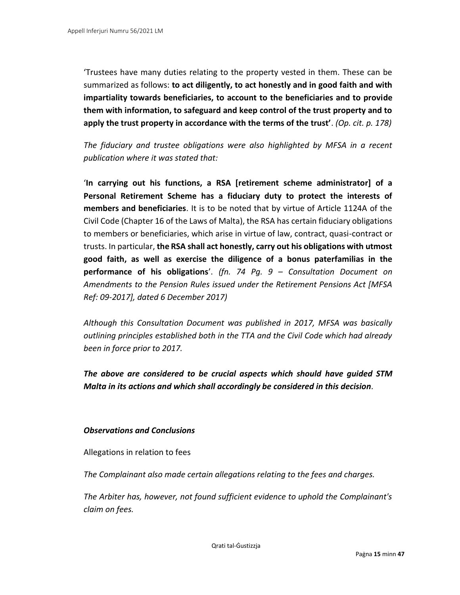'Trustees have many duties relating to the property vested in them. These can be summarized as follows: **to act diligently, to act honestly and in good faith and with impartiality towards beneficiaries, to account to the beneficiaries and to provide them with information, to safeguard and keep control of the trust property and to apply the trust property in accordance with the terms of the trust'**. *(Op. cit. p. 178)*

*The fiduciary and trustee obligations were also highlighted by MFSA in a recent publication where it was stated that:* 

'**In carrying out his functions, a RSA [retirement scheme administrator] of a Personal Retirement Scheme has a fiduciary duty to protect the interests of members and beneficiaries**. It is to be noted that by virtue of Article 1124A of the Civil Code (Chapter 16 of the Laws of Malta), the RSA has certain fiduciary obligations to members or beneficiaries, which arise in virtue of law, contract, quasi-contract or trusts. In particular, **the RSA shall act honestly, carry out his obligations with utmost good faith, as well as exercise the diligence of a bonus paterfamilias in the performance of his obligations**'. *(fn. 74 Pg. 9 – Consultation Document on Amendments to the Pension Rules issued under the Retirement Pensions Act [MFSA Ref: 09-2017], dated 6 December 2017)*

*Although this Consultation Document was published in 2017, MFSA was basically outlining principles established both in the TTA and the Civil Code which had already been in force prior to 2017.* 

*The above are considered to be crucial aspects which should have guided STM Malta in its actions and which shall accordingly be considered in this decision.* 

#### *Observations and Conclusions*

Allegations in relation to fees

*The Complainant also made certain allegations relating to the fees and charges.* 

*The Arbiter has, however, not found sufficient evidence to uphold the Complainant's claim on fees.*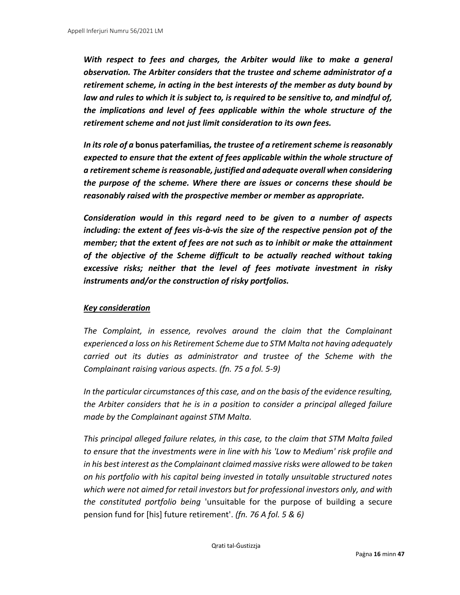*With respect to fees and charges, the Arbiter would like to make a general observation. The Arbiter considers that the trustee and scheme administrator of a retirement scheme, in acting in the best interests of the member as duty bound by law and rules to which it is subject to, is required to be sensitive to, and mindful of, the implications and level of fees applicable within the whole structure of the retirement scheme and not just limit consideration to its own fees.* 

*In its role of a* **bonus paterfamilias***, the trustee of a retirement scheme is reasonably expected to ensure that the extent of fees applicable within the whole structure of a retirement scheme is reasonable, justified and adequate overall when considering the purpose of the scheme. Where there are issues or concerns these should be reasonably raised with the prospective member or member as appropriate.* 

*Consideration would in this regard need to be given to a number of aspects including: the extent of fees vis-à-vis the size of the respective pension pot of the member; that the extent of fees are not such as to inhibit or make the attainment of the objective of the Scheme difficult to be actually reached without taking excessive risks; neither that the level of fees motivate investment in risky instruments and/or the construction of risky portfolios.*

#### *Key consideration*

*The Complaint, in essence, revolves around the claim that the Complainant experienced a loss on his Retirement Scheme due to STM Malta not having adequately carried out its duties as administrator and trustee of the Scheme with the Complainant raising various aspects. (fn. 75 a fol. 5-9)*

*In the particular circumstances of this case, and on the basis of the evidence resulting, the Arbiter considers that he is in a position to consider a principal alleged failure made by the Complainant against STM Malta.* 

*This principal alleged failure relates, in this case, to the claim that STM Malta failed to ensure that the investments were in line with his 'Low to Medium' risk profile and in his best interest as the Complainant claimed massive risks were allowed to be taken on his portfolio with his capital being invested in totally unsuitable structured notes which were not aimed for retail investors but for professional investors only, and with the constituted portfolio being* 'unsuitable for the purpose of building a secure pension fund for [his] future retirement'. *(fn. 76 A fol. 5 & 6)*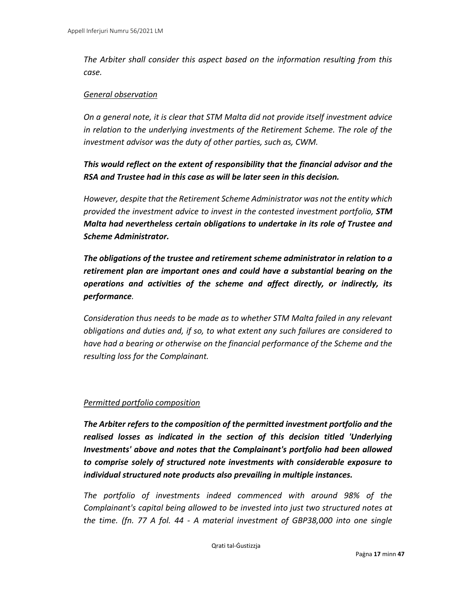*The Arbiter shall consider this aspect based on the information resulting from this case.* 

#### *General observation*

*On a general note, it is clear that STM Malta did not provide itself investment advice in relation to the underlying investments of the Retirement Scheme. The role of the investment advisor was the duty of other parties, such as, CWM.* 

### *This would reflect on the extent of responsibility that the financial advisor and the RSA and Trustee had in this case as will be later seen in this decision.*

*However, despite that the Retirement Scheme Administrator was not the entity which provided the investment advice to invest in the contested investment portfolio, STM Malta had nevertheless certain obligations to undertake in its role of Trustee and Scheme Administrator.* 

*The obligations of the trustee and retirement scheme administrator in relation to a retirement plan are important ones and could have a substantial bearing on the operations and activities of the scheme and affect directly, or indirectly, its performance.* 

*Consideration thus needs to be made as to whether STM Malta failed in any relevant obligations and duties and, if so, to what extent any such failures are considered to have had a bearing or otherwise on the financial performance of the Scheme and the resulting loss for the Complainant.* 

#### *Permitted portfolio composition*

*The Arbiter refers to the composition of the permitted investment portfolio and the realised losses as indicated in the section of this decision titled 'Underlying Investments' above and notes that the Complainant's portfolio had been allowed to comprise solely of structured note investments with considerable exposure to individual structured note products also prevailing in multiple instances.* 

*The portfolio of investments indeed commenced with around 98% of the Complainant's capital being allowed to be invested into just two structured notes at the time. (fn. 77 A fol. 44 - A material investment of GBP38,000 into one single*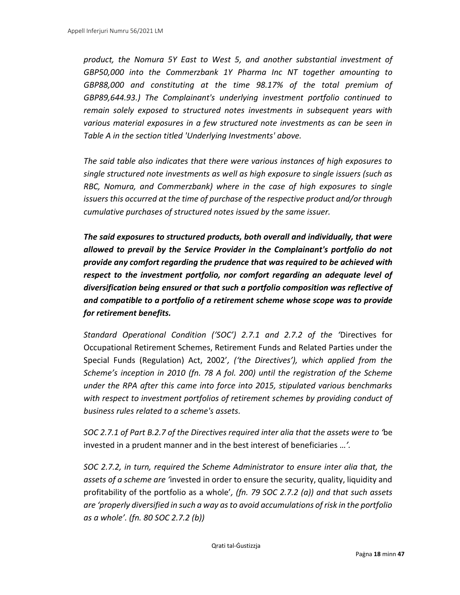*product, the Nomura 5Y East to West 5, and another substantial investment of GBP50,000 into the Commerzbank 1Y Pharma Inc NT together amounting to GBP88,000 and constituting at the time 98.17% of the total premium of GBP89,644.93.) The Complainant's underlying investment portfolio continued to remain solely exposed to structured notes investments in subsequent years with various material exposures in a few structured note investments as can be seen in Table A in the section titled 'Underlying Investments' above.* 

*The said table also indicates that there were various instances of high exposures to single structured note investments as well as high exposure to single issuers (such as RBC, Nomura, and Commerzbank) where in the case of high exposures to single issuers this occurred at the time of purchase of the respective product and/or through cumulative purchases of structured notes issued by the same issuer.* 

*The said exposures to structured products, both overall and individually, that were allowed to prevail by the Service Provider in the Complainant's portfolio do not provide any comfort regarding the prudence that was required to be achieved with respect to the investment portfolio, nor comfort regarding an adequate level of diversification being ensured or that such a portfolio composition was reflective of and compatible to a portfolio of a retirement scheme whose scope was to provide for retirement benefits.* 

*Standard Operational Condition ('SOC') 2.7.1 and 2.7.2 of the '*Directives for Occupational Retirement Schemes, Retirement Funds and Related Parties under the Special Funds (Regulation) Act, 2002'*, ('the Directives'), which applied from the Scheme's inception in 2010 (fn. 78 A fol. 200) until the registration of the Scheme under the RPA after this came into force into 2015, stipulated various benchmarks with respect to investment portfolios of retirement schemes by providing conduct of business rules related to a scheme's assets.* 

*SOC 2.7.1 of Part B.2.7 of the Directives required inter alia that the assets were to '*be invested in a prudent manner and in the best interest of beneficiaries *…'.* 

*SOC 2.7.2, in turn, required the Scheme Administrator to ensure inter alia that, the assets of a scheme are '*invested in order to ensure the security, quality, liquidity and profitability of the portfolio as a whole'*, (fn. 79 SOC 2.7.2 (a)) and that such assets are 'properly diversified in such a way as to avoid accumulations of risk in the portfolio as a whole'. (fn. 80 SOC 2.7.2 (b))*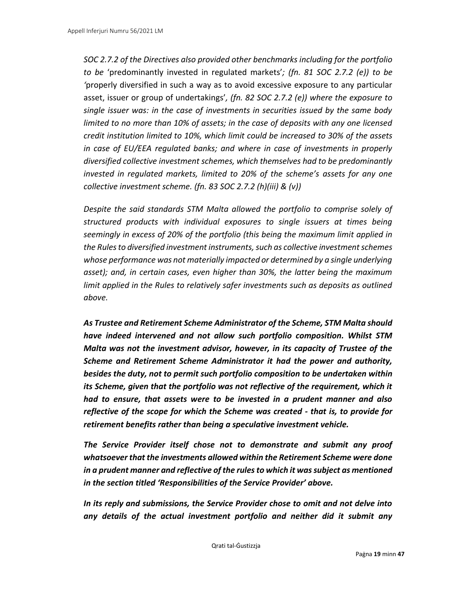*SOC 2.7.2 of the Directives also provided other benchmarks including for the portfolio to be* 'predominantly invested in regulated markets'*; (fn. 81 SOC 2.7.2 (e)) to be '*properly diversified in such a way as to avoid excessive exposure to any particular asset, issuer or group of undertakings'*, (fn. 82 SOC 2.7.2 (e)) where the exposure to single issuer was: in the case of investments in securities issued by the same body limited to no more than 10% of assets; in the case of deposits with any one licensed credit institution limited to 10%, which limit could be increased to 30% of the assets in case of EU/EEA regulated banks; and where in case of investments in properly diversified collective investment schemes, which themselves had to be predominantly invested in regulated markets, limited to 20% of the scheme's assets for any one collective investment scheme. (fn. 83 SOC 2.7.2 (h)(iii) & (v))*

*Despite the said standards STM Malta allowed the portfolio to comprise solely of structured products with individual exposures to single issuers at times being seemingly in excess of 20% of the portfolio (this being the maximum limit applied in the Rules to diversified investment instruments, such as collective investment schemes whose performance was not materially impacted or determined by a single underlying asset); and, in certain cases, even higher than 30%, the latter being the maximum limit applied in the Rules to relatively safer investments such as deposits as outlined above.* 

*As Trustee and Retirement Scheme Administrator of the Scheme, STM Malta should have indeed intervened and not allow such portfolio composition. Whilst STM Malta was not the investment advisor, however, in its capacity of Trustee of the Scheme and Retirement Scheme Administrator it had the power and authority, besides the duty, not to permit such portfolio composition to be undertaken within its Scheme, given that the portfolio was not reflective of the requirement, which it had to ensure, that assets were to be invested in a prudent manner and also reflective of the scope for which the Scheme was created - that is, to provide for retirement benefits rather than being a speculative investment vehicle.* 

*The Service Provider itself chose not to demonstrate and submit any proof whatsoever that the investments allowed within the Retirement Scheme were done in a prudent manner and reflective of the rules to which it was subject as mentioned in the section titled 'Responsibilities of the Service Provider' above.* 

*In its reply and submissions, the Service Provider chose to omit and not delve into any details of the actual investment portfolio and neither did it submit any*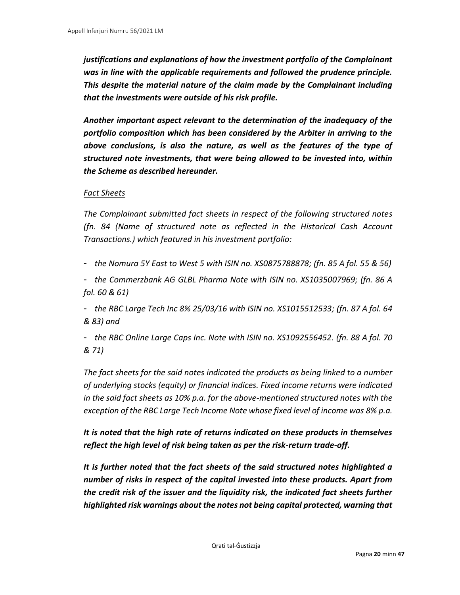*justifications and explanations of how the investment portfolio of the Complainant was in line with the applicable requirements and followed the prudence principle. This despite the material nature of the claim made by the Complainant including that the investments were outside of his risk profile.* 

*Another important aspect relevant to the determination of the inadequacy of the portfolio composition which has been considered by the Arbiter in arriving to the above conclusions, is also the nature, as well as the features of the type of structured note investments, that were being allowed to be invested into, within the Scheme as described hereunder.* 

#### *Fact Sheets*

*The Complainant submitted fact sheets in respect of the following structured notes (fn. 84 (Name of structured note as reflected in the Historical Cash Account Transactions.) which featured in his investment portfolio:* 

- *the Nomura 5Y East to West 5 with ISIN no. XS0875788878; (fn. 85 A fol. 55 & 56)*

- *the Commerzbank AG GLBL Pharma Note with ISIN no. XS1035007969; (fn. 86 A fol. 60 & 61)*

- *the RBC Large Tech Inc 8% 25/03/16 with ISIN no. XS1015512533; (fn. 87 A fol. 64 & 83) and* 

- *the RBC Online Large Caps Inc. Note with ISIN no. XS1092556452. (fn. 88 A fol. 70 & 71)*

*The fact sheets for the said notes indicated the products as being linked to a number of underlying stocks (equity) or financial indices. Fixed income returns were indicated in the said fact sheets as 10% p.a. for the above-mentioned structured notes with the exception of the RBC Large Tech Income Note whose fixed level of income was 8% p.a.* 

*It is noted that the high rate of returns indicated on these products in themselves reflect the high level of risk being taken as per the risk-return trade-off.* 

*It is further noted that the fact sheets of the said structured notes highlighted a number of risks in respect of the capital invested into these products. Apart from the credit risk of the issuer and the liquidity risk, the indicated fact sheets further highlighted risk warnings about the notes not being capital protected, warning that*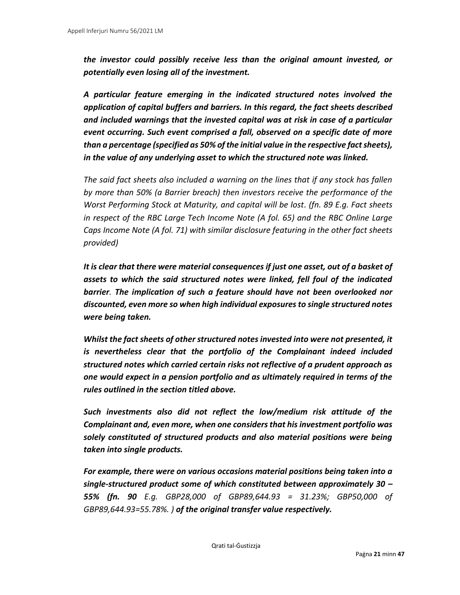*the investor could possibly receive less than the original amount invested, or potentially even losing all of the investment.* 

*A particular feature emerging in the indicated structured notes involved the application of capital buffers and barriers. In this regard, the fact sheets described and included warnings that the invested capital was at risk in case of a particular event occurring. Such event comprised a fall, observed on a specific date of more than a percentage (specified as 50% of the initial value in the respective fact sheets), in the value of any underlying asset to which the structured note was linked.* 

*The said fact sheets also included a warning on the lines that if any stock has fallen by more than 50% (a Barrier breach) then investors receive the performance of the Worst Performing Stock at Maturity, and capital will be lost. (fn. 89 E.g. Fact sheets in respect of the RBC Large Tech Income Note (A fol. 65) and the RBC Online Large Caps Income Note (A fol. 71) with similar disclosure featuring in the other fact sheets provided)*

*It is clear that there were material consequences if just one asset, out of a basket of assets to which the said structured notes were linked, fell foul of the indicated barrier. The implication of such a feature should have not been overlooked nor discounted, even more so when high individual exposures to single structured notes were being taken.* 

*Whilst the fact sheets of other structured notes invested into were not presented, it is nevertheless clear that the portfolio of the Complainant indeed included structured notes which carried certain risks not reflective of a prudent approach as one would expect in a pension portfolio and as ultimately required in terms of the rules outlined in the section titled above.* 

*Such investments also did not reflect the low/medium risk attitude of the Complainant and, even more, when one considers that his investment portfolio was solely constituted of structured products and also material positions were being taken into single products.* 

*For example, there were on various occasions material positions being taken into a single-structured product some of which constituted between approximately 30 – 55% (fn. 90 E.g. GBP28,000 of GBP89,644.93 = 31.23%; GBP50,000 of GBP89,644.93=55.78%. ) of the original transfer value respectively.*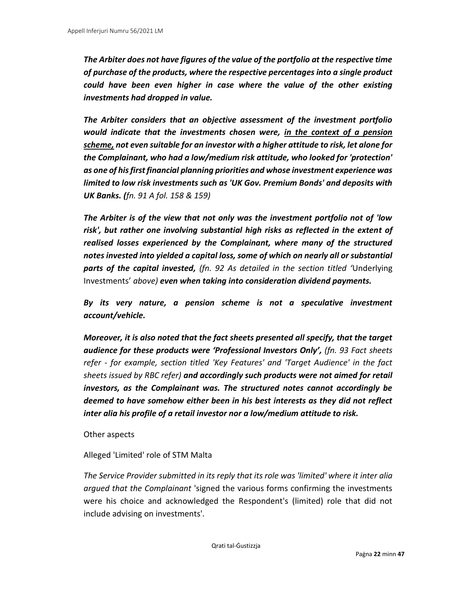*The Arbiter does not have figures of the value of the portfolio at the respective time of purchase of the products, where the respective percentages into a single product could have been even higher in case where the value of the other existing investments had dropped in value.* 

*The Arbiter considers that an objective assessment of the investment portfolio would indicate that the investments chosen were, in the context of a pension scheme, not even suitable for an investor with a higher attitude to risk, let alone for the Complainant, who had a low/medium risk attitude, who looked for 'protection' as one of his first financial planning priorities and whose investment experience was limited to low risk investments such as 'UK Gov. Premium Bonds' and deposits with UK Banks. (fn. 91 A fol. 158 & 159)*

*The Arbiter is of the view that not only was the investment portfolio not of 'low risk', but rather one involving substantial high risks as reflected in the extent of realised losses experienced by the Complainant, where many of the structured notes invested into yielded a capital loss, some of which on nearly all or substantial parts of the capital invested, (fn. 92 As detailed in the section titled '*Underlying Investments' *above) even when taking into consideration dividend payments.* 

*By its very nature, a pension scheme is not a speculative investment account/vehicle.* 

*Moreover, it is also noted that the fact sheets presented all specify, that the target audience for these products were 'Professional Investors Only', (fn. 93 Fact sheets refer - for example, section titled 'Key Features' and 'Target Audience' in the fact sheets issued by RBC refer) and accordingly such products were not aimed for retail investors, as the Complainant was. The structured notes cannot accordingly be deemed to have somehow either been in his best interests as they did not reflect inter alia his profile of a retail investor nor a low/medium attitude to risk.* 

#### Other aspects

#### Alleged 'Limited' role of STM Malta

*The Service Provider submitted in its reply that its role was 'limited' where it inter alia argued that the Complainant* 'signed the various forms confirming the investments were his choice and acknowledged the Respondent's (limited) role that did not include advising on investments'*.*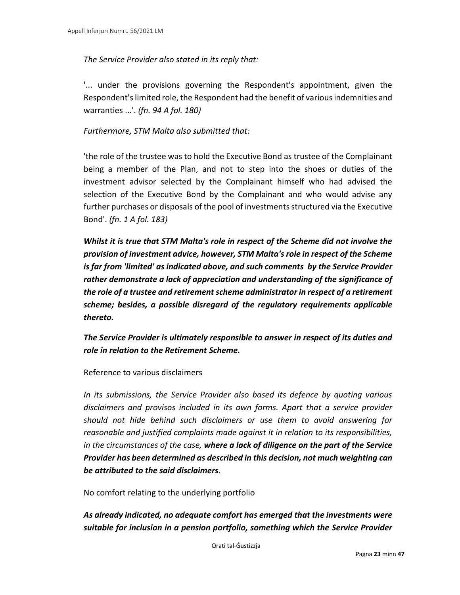#### *The Service Provider also stated in its reply that:*

'... under the provisions governing the Respondent's appointment, given the Respondent's limited role, the Respondent had the benefit of various indemnities and warranties ...'. *(fn. 94 A fol. 180)*

#### *Furthermore, STM Malta also submitted that:*

'the role of the trustee was to hold the Executive Bond as trustee of the Complainant being a member of the Plan, and not to step into the shoes or duties of the investment advisor selected by the Complainant himself who had advised the selection of the Executive Bond by the Complainant and who would advise any further purchases or disposals of the pool of investments structured via the Executive Bond'. *(fn. 1 A fol. 183)*

*Whilst it is true that STM Malta's role in respect of the Scheme did not involve the provision of investment advice, however, STM Malta's role in respect of the Scheme is far from 'limited' as indicated above, and such comments by the Service Provider rather demonstrate a lack of appreciation and understanding of the significance of the role of a trustee and retirement scheme administrator in respect of a retirement scheme; besides, a possible disregard of the regulatory requirements applicable thereto.* 

*The Service Provider is ultimately responsible to answer in respect of its duties and role in relation to the Retirement Scheme.* 

Reference to various disclaimers

*In its submissions, the Service Provider also based its defence by quoting various disclaimers and provisos included in its own forms. Apart that a service provider should not hide behind such disclaimers or use them to avoid answering for reasonable and justified complaints made against it in relation to its responsibilities, in the circumstances of the case, where a lack of diligence on the part of the Service Provider has been determined as described in this decision, not much weighting can be attributed to the said disclaimers.* 

No comfort relating to the underlying portfolio

*As already indicated, no adequate comfort has emerged that the investments were suitable for inclusion in a pension portfolio, something which the Service Provider*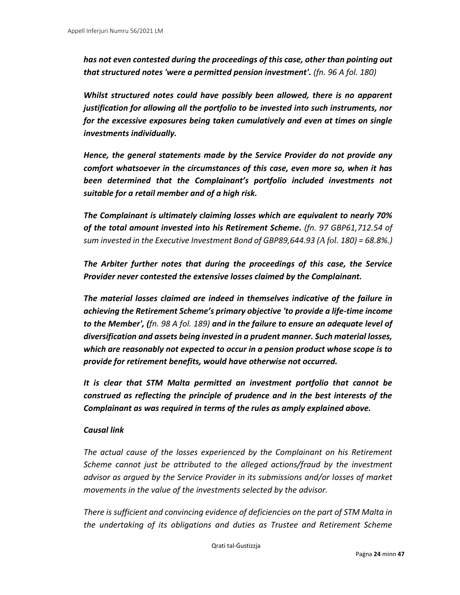*has not even contested during the proceedings of this case, other than pointing out that structured notes 'were a permitted pension investment'. (fn. 96 A fol. 180)*

*Whilst structured notes could have possibly been allowed, there is no apparent justification for allowing all the portfolio to be invested into such instruments, nor for the excessive exposures being taken cumulatively and even at times on single investments individually.* 

*Hence, the general statements made by the Service Provider do not provide any comfort whatsoever in the circumstances of this case, even more so, when it has been determined that the Complainant's portfolio included investments not suitable for a retail member and of a high risk.* 

*The Complainant is ultimately claiming losses which are equivalent to nearly 70% of the total amount invested into his Retirement Scheme. (fn. 97 GBP61,712.54 of sum invested in the Executive Investment Bond of GBP89,644.93 (A fol. 180) = 68.8%.)*

*The Arbiter further notes that during the proceedings of this case, the Service Provider never contested the extensive losses claimed by the Complainant.* 

*The material losses claimed are indeed in themselves indicative of the failure in achieving the Retirement Scheme's primary objective 'to provide a life-time income to the Member', (fn. 98 A fol. 189) and in the failure to ensure an adequate level of diversification and assets being invested in a prudent manner. Such material losses, which are reasonably not expected to occur in a pension product whose scope is to provide for retirement benefits, would have otherwise not occurred.* 

*It is clear that STM Malta permitted an investment portfolio that cannot be construed as reflecting the principle of prudence and in the best interests of the Complainant as was required in terms of the rules as amply explained above.* 

#### *Causal link*

*The actual cause of the losses experienced by the Complainant on his Retirement Scheme cannot just be attributed to the alleged actions/fraud by the investment advisor as argued by the Service Provider in its submissions and/or losses of market movements in the value of the investments selected by the advisor.* 

*There is sufficient and convincing evidence of deficiencies on the part of STM Malta in the undertaking of its obligations and duties as Trustee and Retirement Scheme*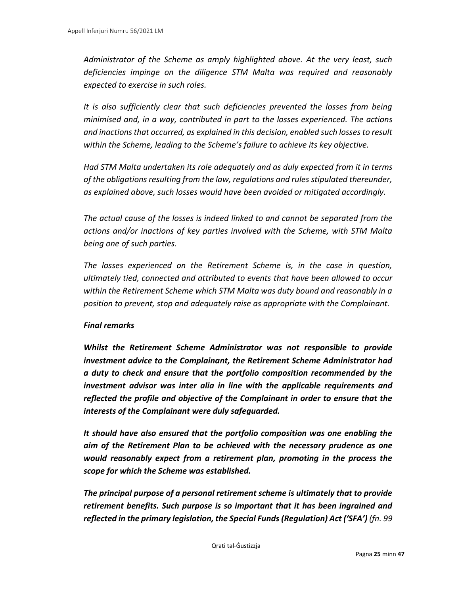*Administrator of the Scheme as amply highlighted above. At the very least, such deficiencies impinge on the diligence STM Malta was required and reasonably expected to exercise in such roles.* 

*It is also sufficiently clear that such deficiencies prevented the losses from being minimised and, in a way, contributed in part to the losses experienced. The actions and inactions that occurred, as explained in this decision, enabled such losses to result within the Scheme, leading to the Scheme's failure to achieve its key objective.* 

*Had STM Malta undertaken its role adequately and as duly expected from it in terms of the obligations resulting from the law, regulations and rules stipulated thereunder, as explained above, such losses would have been avoided or mitigated accordingly.* 

*The actual cause of the losses is indeed linked to and cannot be separated from the actions and/or inactions of key parties involved with the Scheme, with STM Malta being one of such parties.* 

*The losses experienced on the Retirement Scheme is, in the case in question, ultimately tied, connected and attributed to events that have been allowed to occur within the Retirement Scheme which STM Malta was duty bound and reasonably in a position to prevent, stop and adequately raise as appropriate with the Complainant.* 

#### *Final remarks*

*Whilst the Retirement Scheme Administrator was not responsible to provide investment advice to the Complainant, the Retirement Scheme Administrator had a duty to check and ensure that the portfolio composition recommended by the investment advisor was inter alia in line with the applicable requirements and reflected the profile and objective of the Complainant in order to ensure that the interests of the Complainant were duly safeguarded.* 

*It should have also ensured that the portfolio composition was one enabling the aim of the Retirement Plan to be achieved with the necessary prudence as one would reasonably expect from a retirement plan, promoting in the process the scope for which the Scheme was established.* 

*The principal purpose of a personal retirement scheme is ultimately that to provide retirement benefits. Such purpose is so important that it has been ingrained and reflected in the primary legislation, the Special Funds (Regulation) Act ('SFA') (fn. 99*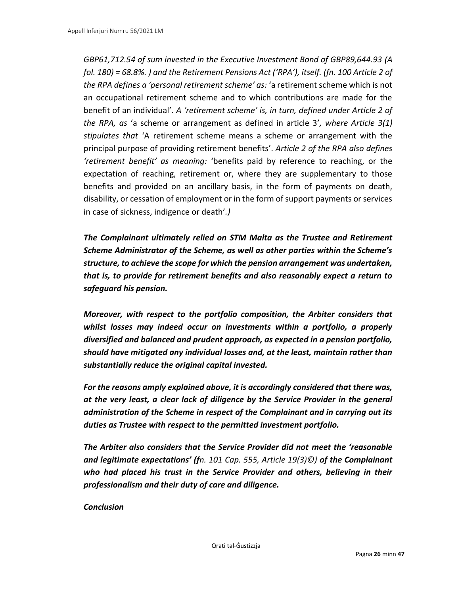*GBP61,712.54 of sum invested in the Executive Investment Bond of GBP89,644.93 (A fol. 180) = 68.8%. ) and the Retirement Pensions Act ('RPA'), itself. (fn. 100 Article 2 of the RPA defines a 'personal retirement scheme' as:* 'a retirement scheme which is not an occupational retirement scheme and to which contributions are made for the benefit of an individual'. *A 'retirement scheme' is, in turn, defined under Article 2 of the RPA, as* 'a scheme or arrangement as defined in article 3'*, where Article 3(1) stipulates that* 'A retirement scheme means a scheme or arrangement with the principal purpose of providing retirement benefits'. *Article 2 of the RPA also defines 'retirement benefit' as meaning:* 'benefits paid by reference to reaching, or the expectation of reaching, retirement or, where they are supplementary to those benefits and provided on an ancillary basis, in the form of payments on death, disability, or cessation of employment or in the form of support payments or services in case of sickness, indigence or death'*.)*

*The Complainant ultimately relied on STM Malta as the Trustee and Retirement Scheme Administrator of the Scheme, as well as other parties within the Scheme's structure, to achieve the scope for which the pension arrangement was undertaken, that is, to provide for retirement benefits and also reasonably expect a return to safeguard his pension.* 

*Moreover, with respect to the portfolio composition, the Arbiter considers that whilst losses may indeed occur on investments within a portfolio, a properly diversified and balanced and prudent approach, as expected in a pension portfolio, should have mitigated any individual losses and, at the least, maintain rather than substantially reduce the original capital invested.* 

*For the reasons amply explained above, it is accordingly considered that there was, at the very least, a clear lack of diligence by the Service Provider in the general administration of the Scheme in respect of the Complainant and in carrying out its duties as Trustee with respect to the permitted investment portfolio.* 

*The Arbiter also considers that the Service Provider did not meet the 'reasonable and legitimate expectations' (fn. 101 Cap. 555, Article 19(3)©) of the Complainant who had placed his trust in the Service Provider and others, believing in their professionalism and their duty of care and diligence.* 

#### *Conclusion*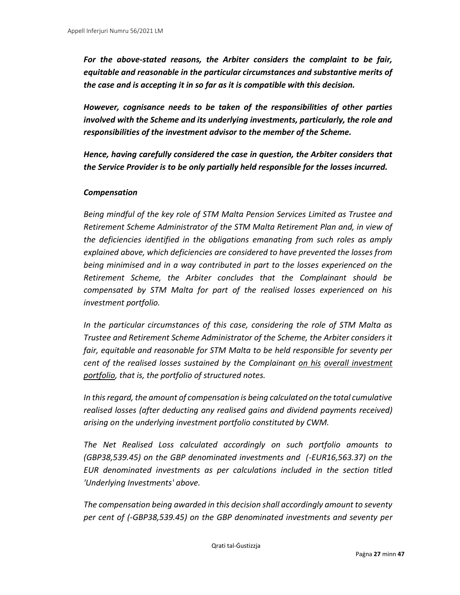*For the above-stated reasons, the Arbiter considers the complaint to be fair, equitable and reasonable in the particular circumstances and substantive merits of the case and is accepting it in so far as it is compatible with this decision.* 

*However, cognisance needs to be taken of the responsibilities of other parties involved with the Scheme and its underlying investments, particularly, the role and responsibilities of the investment advisor to the member of the Scheme.* 

*Hence, having carefully considered the case in question, the Arbiter considers that the Service Provider is to be only partially held responsible for the losses incurred.* 

#### *Compensation*

*Being mindful of the key role of STM Malta Pension Services Limited as Trustee and Retirement Scheme Administrator of the STM Malta Retirement Plan and, in view of the deficiencies identified in the obligations emanating from such roles as amply explained above, which deficiencies are considered to have prevented the losses from being minimised and in a way contributed in part to the losses experienced on the Retirement Scheme, the Arbiter concludes that the Complainant should be compensated by STM Malta for part of the realised losses experienced on his investment portfolio.* 

*In the particular circumstances of this case, considering the role of STM Malta as Trustee and Retirement Scheme Administrator of the Scheme, the Arbiter considers it fair, equitable and reasonable for STM Malta to be held responsible for seventy per cent of the realised losses sustained by the Complainant on his overall investment portfolio, that is, the portfolio of structured notes.* 

*In this regard, the amount of compensation is being calculated on the total cumulative realised losses (after deducting any realised gains and dividend payments received) arising on the underlying investment portfolio constituted by CWM.* 

*The Net Realised Loss calculated accordingly on such portfolio amounts to (GBP38,539.45) on the GBP denominated investments and (-EUR16,563.37) on the EUR denominated investments as per calculations included in the section titled 'Underlying Investments' above.* 

*The compensation being awarded in this decision shall accordingly amount to seventy per cent of (-GBP38,539.45) on the GBP denominated investments and seventy per*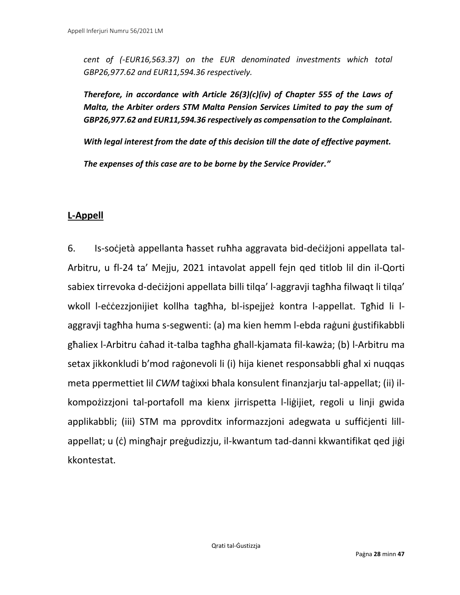*cent of (-EUR16,563.37) on the EUR denominated investments which total GBP26,977.62 and EUR11,594.36 respectively.* 

*Therefore, in accordance with Article 26(3)(c)(iv) of Chapter 555 of the Laws of Malta, the Arbiter orders STM Malta Pension Services Limited to pay the sum of GBP26,977.62 and EUR11,594.36 respectively as compensation to the Complainant.* 

*With legal interest from the date of this decision till the date of effective payment.* 

*The expenses of this case are to be borne by the Service Provider."*

### **L-Appell**

6. Is-soċjetà appellanta ħasset ruħha aggravata bid-deċiżjoni appellata tal-Arbitru, u fl-24 ta' Mejju, 2021 intavolat appell fejn qed titlob lil din il-Qorti sabiex tirrevoka d-deċiżjoni appellata billi tilqa' l-aggravji tagħha filwaqt li tilqa' wkoll l-eċċezzjonijiet kollha tagħha, bl-ispejjeż kontra l-appellat. Tgħid li laggravji tagħha huma s-segwenti: (a) ma kien hemm l-ebda raġuni ġustifikabbli għaliex l-Arbitru ċaħad it-talba tagħha għall-kjamata fil-kawża; (b) l-Arbitru ma setax jikkonkludi b'mod raġonevoli li (i) hija kienet responsabbli għal xi nuqqas meta ppermettiet lil *CWM* taġixxi bħala konsulent finanzjarju tal-appellat; (ii) ilkompożizzjoni tal-portafoll ma kienx jirrispetta l-liġijiet, regoli u linji gwida applikabbli; (iii) STM ma pprovditx informazzjoni adegwata u suffiċjenti lillappellat; u (ċ) mingħajr preġudizzju, il-kwantum tad-danni kkwantifikat qed jiġi kkontestat.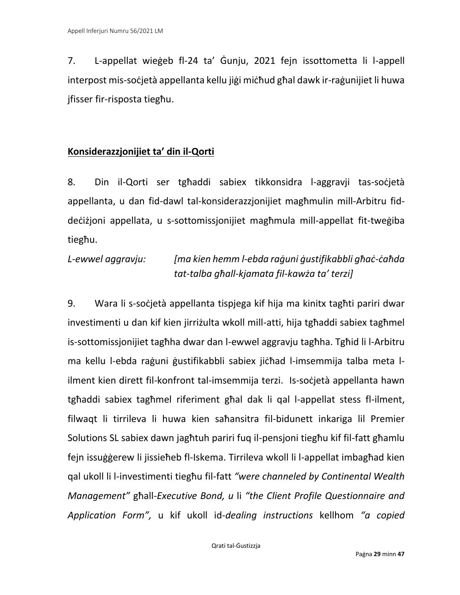7. L-appellat wieġeb fl-24 ta' Ġunju, 2021 fejn issottometta li l-appell interpost mis-soċjetà appellanta kellu jiġi miċħud għal dawk ir-raġunijiet li huwa jfisser fir-risposta tiegħu.

### **Konsiderazzjonijiet ta' din il-Qorti**

8. Din il-Qorti ser tgħaddi sabiex tikkonsidra l-aggravji tas-soċjetà appellanta, u dan fid-dawl tal-konsiderazzjonijiet magħmulin mill-Arbitru fiddeċiżjoni appellata, u s-sottomissjonijiet magħmula mill-appellat fit-tweġiba tiegħu.

# *L-ewwel aggravju: [ma kien hemm l-ebda raġuni ġustifikabbli għaċ-ċaħda tat-talba għall-kjamata fil-kawża ta' terzi]*

9. Wara li s-soċjetà appellanta tispjega kif hija ma kinitx tagħti pariri dwar investimenti u dan kif kien jirriżulta wkoll mill-atti, hija tgħaddi sabiex tagħmel is-sottomissjonijiet tagħha dwar dan l-ewwel aggravju tagħha. Tgħid li l-Arbitru ma kellu l-ebda raġuni ġustifikabbli sabiex jiċħad l-imsemmija talba meta lilment kien dirett fil-konfront tal-imsemmija terzi. Is-soċjetà appellanta hawn tgħaddi sabiex tagħmel riferiment għal dak li qal l-appellat stess fl-ilment, filwaqt li tirrileva li huwa kien saħansitra fil-bidunett inkariga lil Premier Solutions SL sabiex dawn jagħtuh pariri fuq il-pensjoni tiegħu kif fil-fatt għamlu fejn issuġġerew li jissieħeb fl-Iskema. Tirrileva wkoll li l-appellat imbagħad kien qal ukoll li l-investimenti tiegħu fil-fatt *"were channeled by Continental Wealth Management"* għall-*Executive Bond, u* li *"the Client Profile Questionnaire and Application Form",* u kif ukoll id-*dealing instructions* kellhom *"a copied*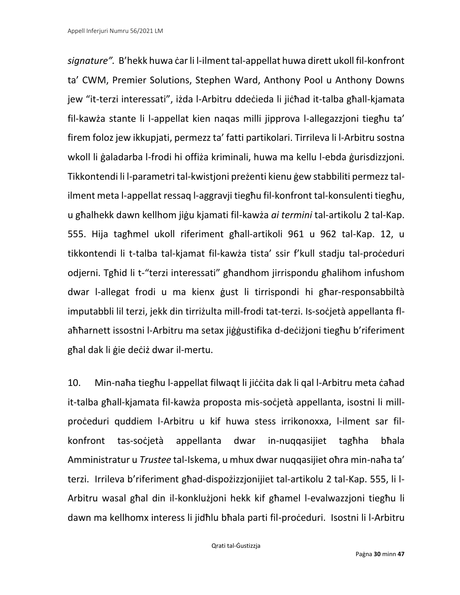*signature".* B'hekk huwa ċar li l-ilment tal-appellat huwa dirett ukoll fil-konfront ta' CWM, Premier Solutions, Stephen Ward, Anthony Pool u Anthony Downs jew "it-terzi interessati", iżda l-Arbitru ddeċieda li jiċħad it-talba għall-kjamata fil-kawża stante li l-appellat kien naqas milli jipprova l-allegazzjoni tiegħu ta' firem foloz jew ikkupjati, permezz ta' fatti partikolari. Tirrileva li l-Arbitru sostna wkoll li ġaladarba l-frodi hi offiża kriminali, huwa ma kellu l-ebda ġurisdizzjoni. Tikkontendi li l-parametri tal-kwistjoni preżenti kienu ġew stabbiliti permezz talilment meta l-appellat ressaq l-aggravji tiegħu fil-konfront tal-konsulenti tiegħu, u għalhekk dawn kellhom jiġu kjamati fil-kawża *ai termini* tal-artikolu 2 tal-Kap. 555. Hija tagħmel ukoll riferiment għall-artikoli 961 u 962 tal-Kap. 12, u tikkontendi li t-talba tal-kjamat fil-kawża tista' ssir f'kull stadju tal-proċeduri odjerni. Tgħid li t-"terzi interessati" għandhom jirrispondu għalihom infushom dwar l-allegat frodi u ma kienx ġust li tirrispondi hi għar-responsabbiltà imputabbli lil terzi, jekk din tirriżulta mill-frodi tat-terzi. Is-soċjetà appellanta flaħħarnett issostni l-Arbitru ma setax jiġġustifika d-deċiżjoni tiegħu b'riferiment għal dak li ġie deċiż dwar il-mertu.

10. Min-naħa tiegħu l-appellat filwaqt li jiċċita dak li qal l-Arbitru meta ċaħad it-talba għall-kjamata fil-kawża proposta mis-soċjetà appellanta, isostni li millproċeduri quddiem l-Arbitru u kif huwa stess irrikonoxxa, l-ilment sar filkonfront tas-soċjetà appellanta dwar in-nuqqasijiet tagħha bħala Amministratur u *Trustee* tal-Iskema, u mhux dwar nuqqasijiet oħra min-naħa ta' terzi. Irrileva b'riferiment għad-dispożizzjonijiet tal-artikolu 2 tal-Kap. 555, li l-Arbitru wasal għal din il-konklużjoni hekk kif għamel l-evalwazzjoni tiegħu li dawn ma kellhomx interess li jidħlu bħala parti fil-proċeduri. Isostni li l-Arbitru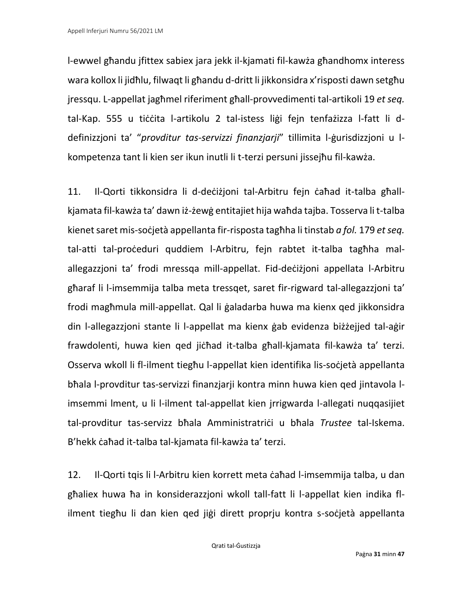l-ewwel għandu jfittex sabiex jara jekk il-kjamati fil-kawża għandhomx interess wara kollox li jidħlu, filwaqt li għandu d-dritt li jikkonsidra x'risposti dawn setgħu jressqu. L-appellat jagħmel riferiment għall-provvedimenti tal-artikoli 19 *et seq.*  tal-Kap. 555 u tiċċita l-artikolu 2 tal-istess liġi fejn tenfażizza l-fatt li ddefinizzjoni ta' "*provditur tas-servizzi finanzjarji*" tillimita l-ġurisdizzjoni u lkompetenza tant li kien ser ikun inutli li t-terzi persuni jissejħu fil-kawża.

11. Il-Qorti tikkonsidra li d-deċiżjoni tal-Arbitru fejn ċaħad it-talba għallkjamata fil-kawża ta' dawn iż-żewġ entitajiet hija waħda tajba. Tosserva li t-talba kienet saret mis-soċjetà appellanta fir-risposta tagħha li tinstab *a fol.* 179 *et seq.* tal-atti tal-proċeduri quddiem l-Arbitru, fejn rabtet it-talba tagħha malallegazzjoni ta' frodi mressqa mill-appellat. Fid-deċiżjoni appellata l-Arbitru għaraf li l-imsemmija talba meta tressqet, saret fir-rigward tal-allegazzjoni ta' frodi magħmula mill-appellat. Qal li ġaladarba huwa ma kienx qed jikkonsidra din l-allegazzjoni stante li l-appellat ma kienx ġab evidenza biżżejjed tal-aġir frawdolenti, huwa kien qed jiċħad it-talba għall-kjamata fil-kawża ta' terzi. Osserva wkoll li fl-ilment tiegħu l-appellat kien identifika lis-soċjetà appellanta bħala l-provditur tas-servizzi finanzjarji kontra minn huwa kien qed jintavola limsemmi lment, u li l-ilment tal-appellat kien jrrigwarda l-allegati nuqqasijiet tal-provditur tas-servizz bħala Amministratriċi u bħala *Trustee* tal-Iskema. B'hekk ċaħad it-talba tal-kjamata fil-kawża ta' terzi.

12. Il-Qorti tqis li l-Arbitru kien korrett meta ċaħad l-imsemmija talba, u dan għaliex huwa ħa in konsiderazzjoni wkoll tall-fatt li l-appellat kien indika flilment tiegħu li dan kien qed jiġi dirett proprju kontra s-soċjetà appellanta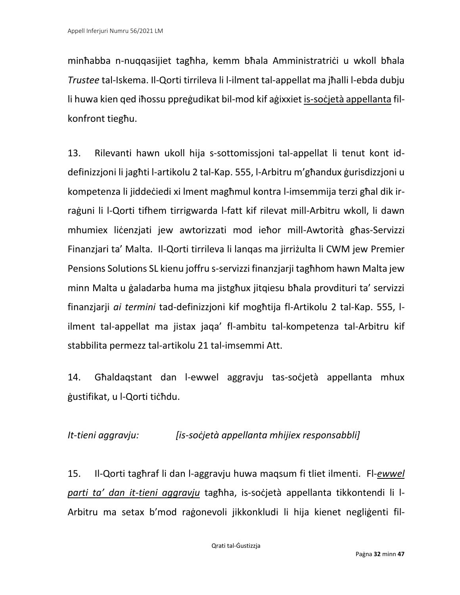minħabba n-nuqqasijiet tagħha, kemm bħala Amministratriċi u wkoll bħala *Trustee* tal-Iskema. Il-Qorti tirrileva li l-ilment tal-appellat ma jħalli l-ebda dubju li huwa kien qed iħossu ppreġudikat bil-mod kif aġixxiet is-soċjetà appellanta filkonfront tiegħu.

13. Rilevanti hawn ukoll hija s-sottomissjoni tal-appellat li tenut kont iddefinizzjoni li jagħti l-artikolu 2 tal-Kap. 555, l-Arbitru m'għandux ġurisdizzjoni u kompetenza li jiddeċiedi xi lment magħmul kontra l-imsemmija terzi għal dik irraġuni li l-Qorti tifhem tirrigwarda l-fatt kif rilevat mill-Arbitru wkoll, li dawn mhumiex liċenzjati jew awtorizzati mod ieħor mill-Awtorità għas-Servizzi Finanzjari ta' Malta. Il-Qorti tirrileva li lanqas ma jirriżulta li CWM jew Premier Pensions Solutions SL kienu joffru s-servizzi finanzjarji tagħhom hawn Malta jew minn Malta u ġaladarba huma ma jistgħux jitqiesu bħala provdituri ta' servizzi finanzjarji *ai termini* tad-definizzjoni kif mogħtija fl-Artikolu 2 tal-Kap. 555, lilment tal-appellat ma jistax jaqa' fl-ambitu tal-kompetenza tal-Arbitru kif stabbilita permezz tal-artikolu 21 tal-imsemmi Att.

14. Għaldaqstant dan l-ewwel aggravju tas-soċjetà appellanta mhux ġustifikat, u l-Qorti tiċħdu.

## *It-tieni aggravju: [is-soċjetà appellanta mhijiex responsabbli]*

15. Il-Qorti tagħraf li dan l-aggravju huwa maqsum fi tliet ilmenti. Fl-*ewwel parti ta' dan it-tieni aggravju* tagħha, is-soċjetà appellanta tikkontendi li l-Arbitru ma setax b'mod raġonevoli jikkonkludi li hija kienet negliġenti fil-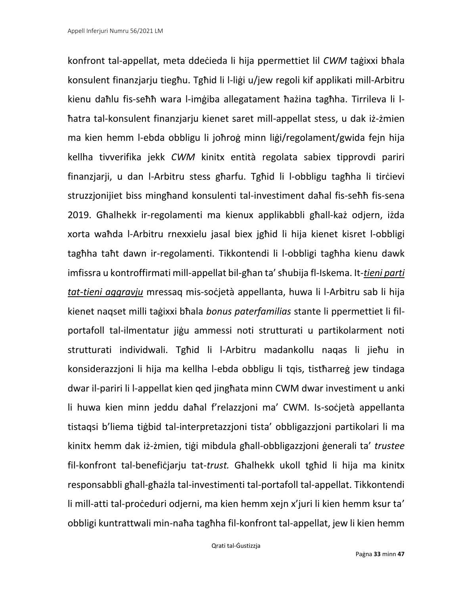konfront tal-appellat, meta ddeċieda li hija ppermettiet lil *CWM* taġixxi bħala konsulent finanzjarju tiegħu. Tgħid li l-liġi u/jew regoli kif applikati mill-Arbitru kienu daħlu fis-seħħ wara l-imġiba allegatament ħażina tagħha. Tirrileva li lħatra tal-konsulent finanzjarju kienet saret mill-appellat stess, u dak iż-żmien ma kien hemm l-ebda obbligu li joħroġ minn liġi/regolament/gwida fejn hija kellha tivverifika jekk *CWM* kinitx entità regolata sabiex tipprovdi pariri finanzjarji, u dan l-Arbitru stess għarfu. Tgħid li l-obbligu tagħha li tirċievi struzzjonijiet biss mingħand konsulenti tal-investiment daħal fis-seħħ fis-sena 2019. Għalhekk ir-regolamenti ma kienux applikabbli għall-każ odjern, iżda xorta waħda l-Arbitru rnexxielu jasal biex jgħid li hija kienet kisret l-obbligi tagħha taħt dawn ir-regolamenti. Tikkontendi li l-obbligi tagħha kienu dawk imfissra u kontroffirmati mill-appellat bil-għan ta' sħubija fl-Iskema. It-*tieni parti tat-tieni aggravju* mressaq mis-soċjetà appellanta, huwa li l-Arbitru sab li hija kienet naqset milli taġixxi bħala *bonus paterfamilias* stante li ppermettiet li filportafoll tal-ilmentatur jiġu ammessi noti strutturati u partikolarment noti strutturati individwali. Tgħid li l-Arbitru madankollu naqas li jieħu in konsiderazzjoni li hija ma kellha l-ebda obbligu li tqis, tistħarreġ jew tindaga dwar il-pariri li l-appellat kien qed jingħata minn CWM dwar investiment u anki li huwa kien minn jeddu daħal f'relazzjoni ma' CWM. Is-soċjetà appellanta tistaqsi b'liema tiġbid tal-interpretazzjoni tista' obbligazzjoni partikolari li ma kinitx hemm dak iż-żmien, tiġi mibdula għall-obbligazzjoni ġenerali ta' *trustee*  fil-konfront tal-benefiċjarju tat-*trust.* Għalhekk ukoll tgħid li hija ma kinitx responsabbli għall-għażla tal-investimenti tal-portafoll tal-appellat. Tikkontendi li mill-atti tal-proċeduri odjerni, ma kien hemm xejn x'juri li kien hemm ksur ta' obbligi kuntrattwali min-naħa tagħha fil-konfront tal-appellat, jew li kien hemm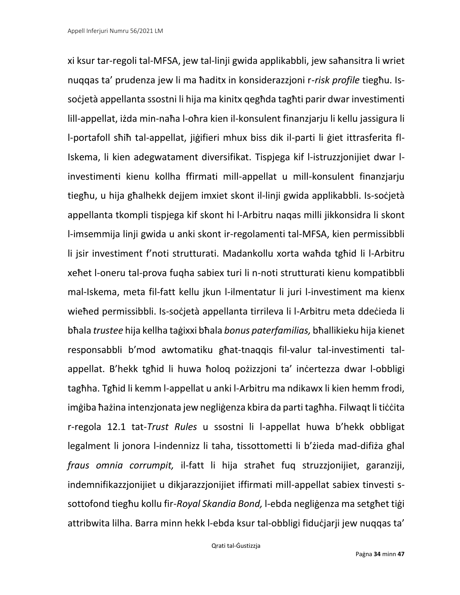xi ksur tar-regoli tal-MFSA, jew tal-linji gwida applikabbli, jew saħansitra li wriet nuqqas ta' prudenza jew li ma ħaditx in konsiderazzjoni r-*risk profile* tiegħu. Issoċjetà appellanta ssostni li hija ma kinitx qegħda tagħti parir dwar investimenti lill-appellat, iżda min-naħa l-oħra kien il-konsulent finanzjarju li kellu jassigura li l-portafoll sħiħ tal-appellat, jiġifieri mhux biss dik il-parti li ġiet ittrasferita fl-Iskema, li kien adegwatament diversifikat. Tispjega kif l-istruzzjonijiet dwar linvestimenti kienu kollha ffirmati mill-appellat u mill-konsulent finanzjarju tiegħu, u hija għalhekk dejjem imxiet skont il-linji gwida applikabbli. Is-soċjetà appellanta tkompli tispjega kif skont hi l-Arbitru naqas milli jikkonsidra li skont l-imsemmija linji gwida u anki skont ir-regolamenti tal-MFSA, kien permissibbli li jsir investiment f'noti strutturati. Madankollu xorta waħda tgħid li l-Arbitru xeħet l-oneru tal-prova fuqha sabiex turi li n-noti strutturati kienu kompatibbli mal-Iskema, meta fil-fatt kellu jkun l-ilmentatur li juri l-investiment ma kienx wieħed permissibbli. Is-soċjetà appellanta tirrileva li l-Arbitru meta ddeċieda li bħala *trustee* hija kellha taġixxi bħala *bonus paterfamilias,* bħallikieku hija kienet responsabbli b'mod awtomatiku għat-tnaqqis fil-valur tal-investimenti talappellat. B'hekk tgħid li huwa ħoloq pożizzjoni ta' inċertezza dwar l-obbligi tagħha. Tgħid li kemm l-appellat u anki l-Arbitru ma ndikawx li kien hemm frodi, imġiba ħażina intenzjonata jew negliġenza kbira da parti tagħha. Filwaqt li tiċċita r-regola 12.1 tat-*Trust Rules* u ssostni li l-appellat huwa b'hekk obbligat legalment li jonora l-indennizz li taha, tissottometti li b'żieda mad-difiża għal *fraus omnia corrumpit,* il-fatt li hija straħet fuq struzzjonijiet, garanziji, indemnifikazzjonijiet u dikjarazzjonijiet iffirmati mill-appellat sabiex tinvesti ssottofond tiegħu kollu fir-*Royal Skandia Bond,* l-ebda negliġenza ma setgħet tiġi attribwita lilha. Barra minn hekk l-ebda ksur tal-obbligi fiduċjarii jew nuqqas ta'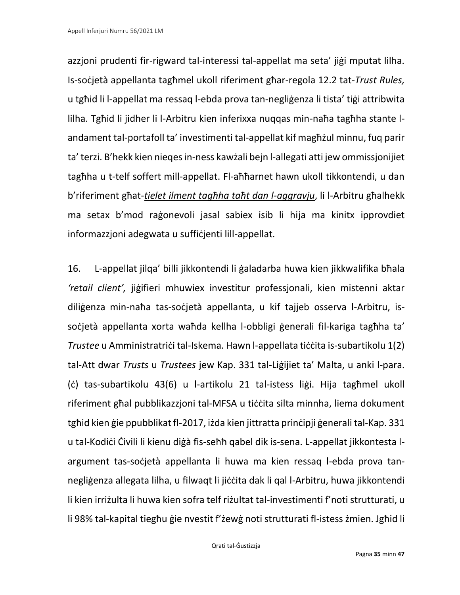azzjoni prudenti fir-rigward tal-interessi tal-appellat ma seta' jiġi mputat lilha. Is-soċjetà appellanta tagħmel ukoll riferiment għar-regola 12.2 tat-*Trust Rules,* u tgħid li l-appellat ma ressaq l-ebda prova tan-negliġenza li tista' tiġi attribwita lilha. Tgħid li jidher li l-Arbitru kien inferixxa nuqqas min-naħa tagħha stante landament tal-portafoll ta' investimenti tal-appellat kif magħżul minnu, fuq parir ta' terzi. B'hekk kien nieqes in-ness kawżali bejn l-allegati atti jew ommissjonijiet tagħha u t-telf soffert mill-appellat. Fl-aħħarnet hawn ukoll tikkontendi, u dan b'riferiment għat-*tielet ilment tagħha taħt dan l-aggravju*, li l-Arbitru għalhekk ma setax b'mod raġonevoli jasal sabiex isib li hija ma kinitx ipprovdiet informazzjoni adegwata u suffiċjenti lill-appellat.

16. L-appellat jilqa' billi jikkontendi li ġaladarba huwa kien jikkwalifika bħala *'retail client',* jiġifieri mhuwiex investitur professjonali, kien mistenni aktar diliġenza min-naħa tas-soċjetà appellanta, u kif tajjeb osserva l-Arbitru, issoċjetà appellanta xorta waħda kellha l-obbligi ģenerali fil-kariga tagħha ta' *Trustee* u Amministratriċi tal-Iskema*.* Hawn l-appellata tiċċita is-subartikolu 1(2) tal-Att dwar *Trusts* u *Trustees* jew Kap. 331 tal-Liġijiet ta' Malta, u anki l-para. (ċ) tas-subartikolu 43(6) u l-artikolu 21 tal-istess liġi. Hija tagħmel ukoll riferiment għal pubblikazzjoni tal-MFSA u tiċċita silta minnha, liema dokument tgħid kien ġie ppubblikat fl-2017, iżda kien jittratta prinċipji ġenerali tal-Kap. 331 u tal-Kodiċi Ċivili li kienu diġà fis-seħħ qabel dik is-sena. L-appellat jikkontesta largument tas-soċjetà appellanta li huwa ma kien ressaq l-ebda prova tannegliġenza allegata lilha, u filwaqt li jiċċita dak li qal l-Arbitru, huwa jikkontendi li kien irriżulta li huwa kien sofra telf riżultat tal-investimenti f'noti strutturati, u li 98% tal-kapital tiegħu ġie nvestit f'żewġ noti strutturati fl-istess żmien. Jgħid li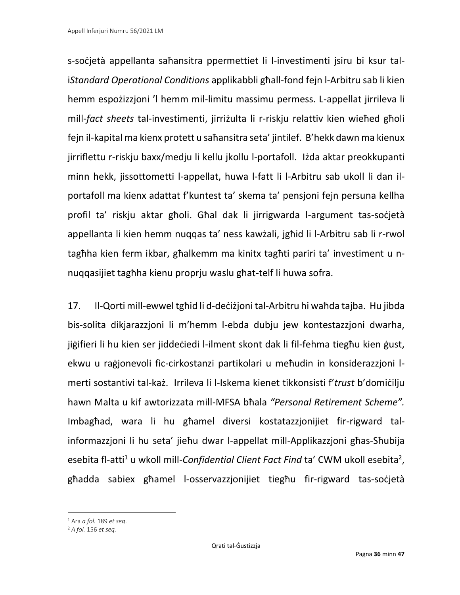s-soċjetà appellanta saħansitra ppermettiet li l-investimenti jsiru bi ksur tali*Standard Operational Conditions* applikabbli għall-fond fejn l-Arbitru sab li kien hemm espożizzjoni 'l hemm mil-limitu massimu permess. L-appellat jirrileva li mill-*fact sheets* tal-investimenti, jirriżulta li r-riskju relattiv kien wieħed għoli fejn il-kapital ma kienx protett u saħansitra seta' jintilef. B'hekk dawn ma kienux jirriflettu r-riskju baxx/medju li kellu jkollu l-portafoll. Iżda aktar preokkupanti minn hekk, jissottometti l-appellat, huwa l-fatt li l-Arbitru sab ukoll li dan ilportafoll ma kienx adattat f'kuntest ta' skema ta' pensjoni fejn persuna kellha profil ta' riskju aktar għoli. Għal dak li jirrigwarda l-argument tas-soċjetà appellanta li kien hemm nuqqas ta' ness kawżali, jgħid li l-Arbitru sab li r-rwol tagħha kien ferm ikbar, għalkemm ma kinitx tagħti pariri ta' investiment u nnuqqasijiet tagħha kienu proprju waslu għat-telf li huwa sofra.

17. Il-Qorti mill-ewwel tgħid li d-deċiżjoni tal-Arbitru hi waħda tajba. Hu jibda bis-solita dikjarazzjoni li m'hemm l-ebda dubju jew kontestazzjoni dwarha, jiġifieri li hu kien ser jiddeċiedi l-ilment skont dak li fil-fehma tiegħu kien ġust, ekwu u raġjonevoli fic-cirkostanzi partikolari u meħudin in konsiderazzjoni lmerti sostantivi tal-każ. Irrileva li l-Iskema kienet tikkonsisti f'*trust* b'domiċilju hawn Malta u kif awtorizzata mill-MFSA bħala *"Personal Retirement Scheme".*  Imbagħad, wara li hu għamel diversi kostatazzjonijiet fir-rigward talinformazzjoni li hu seta' jieħu dwar l-appellat mill-Applikazzjoni għas-Sħubija esebita fl-atti<sup>1</sup> u wkoll mill-*Confidential Client Fact Find* ta' CWM ukoll esebita<sup>2</sup>, għadda sabiex għamel l-osservazzjonijiet tiegħu fir-rigward tas-soċjetà

<sup>1</sup> Ara *a fol.* 189 *et seq*.

<sup>2</sup> *A fol.* 156 *et seq.*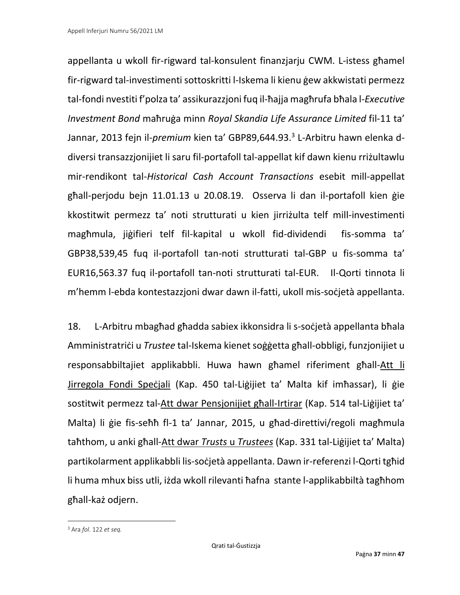appellanta u wkoll fir-rigward tal-konsulent finanzjarju CWM. L-istess għamel fir-rigward tal-investimenti sottoskritti l-Iskema li kienu ġew akkwistati permezz tal-fondi nvestiti f'polza ta' assikurazzjoni fuq il-ħajja magħrufa bħala l-*Executive Investment Bond* maħruġa minn *Royal Skandia Life Assurance Limited* fil-11 ta' Jannar, 2013 fejn il-*premium* kien ta' GBP89,644.93. 3 L-Arbitru hawn elenka ddiversi transazzjonijiet li saru fil-portafoll tal-appellat kif dawn kienu rriżultawlu mir-rendikont tal-*Historical Cash Account Transactions* esebit mill-appellat għall-perjodu bejn 11.01.13 u 20.08.19. Osserva li dan il-portafoll kien ġie kkostitwit permezz ta' noti strutturati u kien jirriżulta telf mill-investimenti magħmula, jiġifieri telf fil-kapital u wkoll fid-dividendi fis-somma ta' GBP38,539,45 fuq il-portafoll tan-noti strutturati tal-GBP u fis-somma ta' EUR16,563.37 fuq il-portafoll tan-noti strutturati tal-EUR. Il-Qorti tinnota li m'hemm l-ebda kontestazzjoni dwar dawn il-fatti, ukoll mis-soċjetà appellanta.

18. L-Arbitru mbagħad għadda sabiex ikkonsidra li s-soċjetà appellanta bħala Amministratriċi u *Trustee* tal-Iskema kienet soġġetta għall-obbligi, funzjonijiet u responsabbiltajiet applikabbli. Huwa hawn għamel riferiment għall-Att li Jirregola Fondi Speċjali (Kap. 450 tal-Liġijiet ta' Malta kif imħassar), li ġie sostitwit permezz tal-Att dwar Pensjonijiet għall-Irtirar (Kap. 514 tal-Liġijiet ta' Malta) li ġie fis-seħħ fl-1 ta' Jannar, 2015, u għad-direttivi/regoli magħmula taħthom, u anki għall-Att dwar *Trusts* u *Trustees* (Kap. 331 tal-Liġijiet ta' Malta) partikolarment applikabbli lis-soċjetà appellanta. Dawn ir-referenzi l-Qorti tgħid li huma mhux biss utli, iżda wkoll rilevanti ħafna stante l-applikabbiltà tagħhom għall-każ odjern.

<sup>3</sup> Ara *fol.* 122 *et seq.*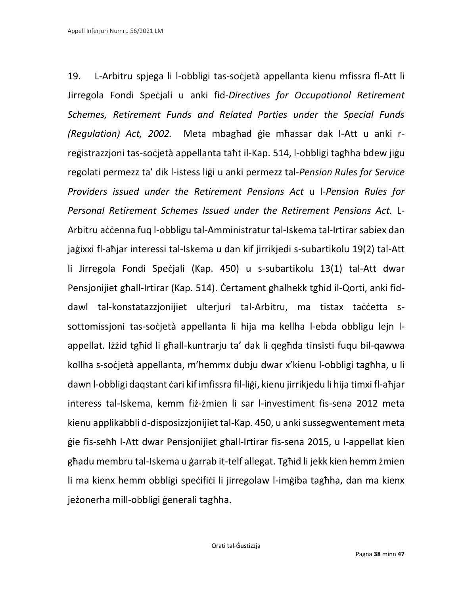19. L-Arbitru spjega li l-obbligi tas-soċjetà appellanta kienu mfissra fl-Att li Jirregola Fondi Speċjali u anki fid-*Directives for Occupational Retirement Schemes, Retirement Funds and Related Parties under the Special Funds (Regulation) Act, 2002.* Meta mbagħad ġie mħassar dak l-Att u anki rreġistrazzjoni tas-soċjetà appellanta taħt il-Kap. 514, l-obbligi tagħha bdew jiġu regolati permezz ta' dik l-istess liġi u anki permezz tal-*Pension Rules for Service Providers issued under the Retirement Pensions Act* u l-*Pension Rules for Personal Retirement Schemes Issued under the Retirement Pensions Act.* L-Arbitru aċċenna fuq l-obbligu tal-Amministratur tal-Iskema tal-Irtirar sabiex dan jaġixxi fl-aħjar interessi tal-Iskema u dan kif jirrikjedi s-subartikolu 19(2) tal-Att li Jirregola Fondi Speċjali (Kap. 450) u s-subartikolu 13(1) tal-Att dwar Pensjonijiet għall-Irtirar (Kap. 514). Ċertament għalhekk tgħid il-Qorti, anki fiddawl tal-konstatazzjonijiet ulterjuri tal-Arbitru, ma tistax taċċetta ssottomissjoni tas-soċjetà appellanta li hija ma kellha l-ebda obbligu lejn lappellat. Iżżid tgħid li għall-kuntrarju ta' dak li qegħda tinsisti fuqu bil-qawwa kollha s-soċjetà appellanta, m'hemmx dubju dwar x'kienu l-obbligi tagħha, u li dawn l-obbligi daqstant ċari kif imfissra fil-liġi, kienu jirrikjedu li hija timxi fl-aħjar interess tal-Iskema, kemm fiż-żmien li sar l-investiment fis-sena 2012 meta kienu applikabbli d-disposizzjonijiet tal-Kap. 450, u anki sussegwentement meta ġie fis-seħħ l-Att dwar Pensjonijiet għall-Irtirar fis-sena 2015, u l-appellat kien għadu membru tal-Iskema u ġarrab it-telf allegat. Tgħid li jekk kien hemm żmien li ma kienx hemm obbligi speċifiċi li jirregolaw l-imġiba tagħha, dan ma kienx jeżonerha mill-obbligi ġenerali tagħha.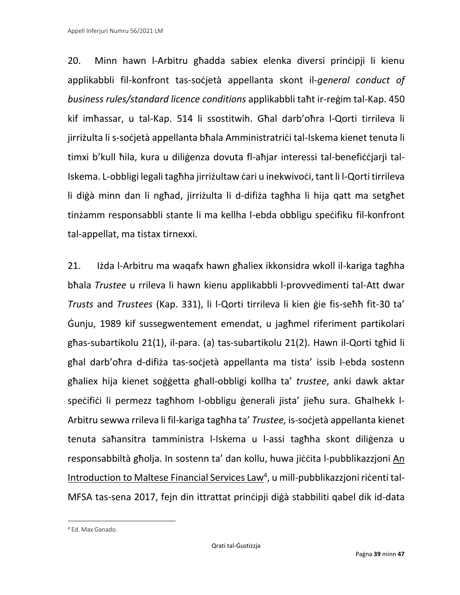20. Minn hawn l-Arbitru għadda sabiex elenka diversi prinċipji li kienu applikabbli fil-konfront tas-soċjetà appellanta skont il-*general conduct of business rules/standard licence conditions* applikabbli taħt ir-reġim tal-Kap. 450 kif imħassar, u tal-Kap. 514 li ssostitwih. Għal darb'oħra l-Qorti tirrileva li jirriżulta li s-soċjetà appellanta bħala Amministratriċi tal-Iskema kienet tenuta li timxi b'kull ħila, kura u diliġenza dovuta fl-aħjar interessi tal-benefiċċjarji tal-Iskema. L-obbligi legali tagħha jirriżultaw ċari u inekwivoċi, tant li l-Qorti tirrileva li diġà minn dan li ngħad, jirriżulta li d-difiża tagħha li hija qatt ma setgħet tinżamm responsabbli stante li ma kellha l-ebda obbligu speċifiku fil-konfront tal-appellat, ma tistax tirnexxi.

21. Iżda l-Arbitru ma waqafx hawn għaliex ikkonsidra wkoll il-kariga tagħha bħala *Trustee* u rrileva li hawn kienu applikabbli l-provvedimenti tal-Att dwar *Trusts* and *Trustees* (Kap. 331), li l-Qorti tirrileva li kien ġie fis-seħħ fit-30 ta' Ġunju, 1989 kif sussegwentement emendat, u jagħmel riferiment partikolari għas-subartikolu 21(1), il-para. (a) tas-subartikolu 21(2). Hawn il-Qorti tgħid li għal darb'oħra d-difiża tas-soċjetà appellanta ma tista' issib l-ebda sostenn għaliex hija kienet soġġetta għall-obbligi kollha ta' *trustee*, anki dawk aktar speċifiċi li permezz tagħhom l-obbligu ġenerali jista' jieħu sura. Għalhekk l-Arbitru sewwa rrileva li fil-kariga tagħha ta' *Trustee,* is-soċjetà appellanta kienet tenuta saħansitra tamministra l-Iskema u l-assi tagħha skont diliġenza u responsabbiltà għolja. In sostenn ta' dan kollu, huwa jiċċita l-pubblikazzjoni An Introduction to Maltese Financial Services Law<sup>4</sup>, u mill-pubblikazzjoni riċenti tal-MFSA tas-sena 2017, fejn din ittrattat prinċipji diġà stabbiliti qabel dik id-data

<sup>4</sup> Ed. Max Ganado.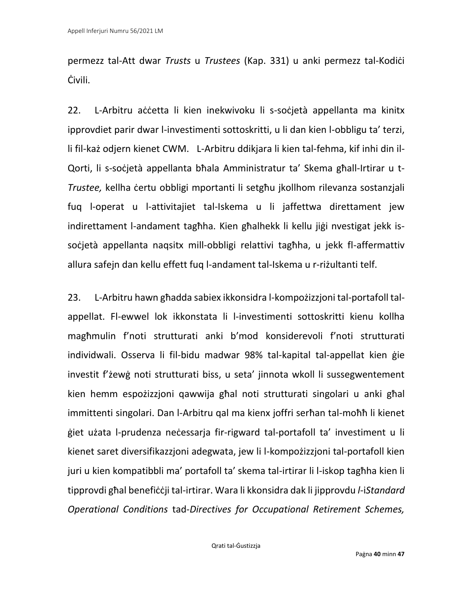permezz tal-Att dwar *Trusts* u *Trustees* (Kap. 331) u anki permezz tal-Kodiċi Ċivili.

22. L-Arbitru aċċetta li kien inekwivoku li s-soċjetà appellanta ma kinitx ipprovdiet parir dwar l-investimenti sottoskritti, u li dan kien l-obbligu ta' terzi, li fil-każ odjern kienet CWM. L-Arbitru ddikjara li kien tal-fehma, kif inhi din il-Qorti, li s-soċjetà appellanta bħala Amministratur ta' Skema għall-Irtirar u t-*Trustee,* kellha ċertu obbligi mportanti li setgħu jkollhom rilevanza sostanzjali fuq l-operat u l-attivitajiet tal-Iskema u li jaffettwa direttament jew indirettament l-andament tagħha. Kien għalhekk li kellu jiġi nvestigat jekk issoċjetà appellanta naqsitx mill-obbligi relattivi tagħha, u jekk fl-affermattiv allura safejn dan kellu effett fuq l-andament tal-Iskema u r-riżultanti telf.

23. L-Arbitru hawn għadda sabiex ikkonsidra l-kompożizzjoni tal-portafoll talappellat. Fl-ewwel lok ikkonstata li l-investimenti sottoskritti kienu kollha magħmulin f'noti strutturati anki b'mod konsiderevoli f'noti strutturati individwali. Osserva li fil-bidu madwar 98% tal-kapital tal-appellat kien ġie investit f'żewġ noti strutturati biss, u seta' jinnota wkoll li sussegwentement kien hemm espożizzjoni qawwija għal noti strutturati singolari u anki għal immittenti singolari. Dan l-Arbitru qal ma kienx joffri serħan tal-moħħ li kienet ġiet użata l-prudenza neċessarja fir-rigward tal-portafoll ta' investiment u li kienet saret diversifikazzjoni adegwata, jew li l-kompożizzjoni tal-portafoll kien juri u kien kompatibbli ma' portafoll ta' skema tal-irtirar li l-iskop tagħha kien li tipprovdi għal benefiċċji tal-irtirar. Wara li kkonsidra dak li jipprovdu *l*-i*Standard Operational Conditions* tad-*Directives for Occupational Retirement Schemes,*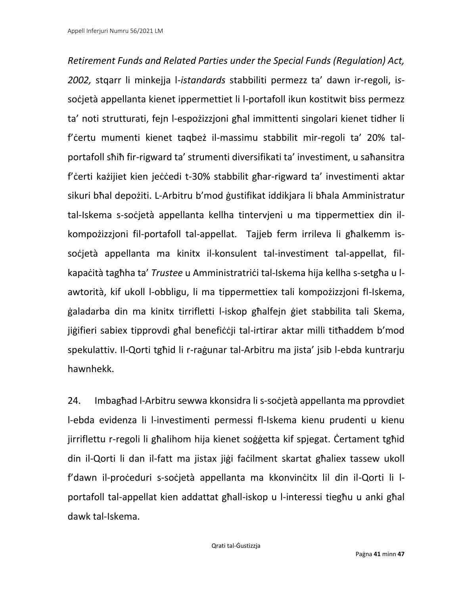*Retirement Funds and Related Parties under the Special Funds (Regulation) Act, 2002,* stqarr li minkejja l-*istandards* stabbiliti permezz ta' dawn ir-regoli, i*s*soċietà appellanta kienet ippermettiet li l-portafoll ikun kostitwit biss permezz ta' noti strutturati, fejn l-espożizzjoni għal immittenti singolari kienet tidher li f'ċertu mumenti kienet taqbeż il-massimu stabbilit mir-regoli ta' 20% talportafoll sħiħ fir-rigward ta' strumenti diversifikati ta' investiment, u saħansitra f'ċerti każijiet kien jeċċedi t-30% stabbilit għar-rigward ta' investimenti aktar sikuri bħal depożiti. L-Arbitru b'mod ġustifikat iddikjara li bħala Amministratur tal-Iskema s-soċjetà appellanta kellha tintervjeni u ma tippermettiex din ilkompożizzjoni fil-portafoll tal-appellat. Tajjeb ferm irrileva li għalkemm issoċjetà appellanta ma kinitx il-konsulent tal-investiment tal-appellat, filkapaċità tagħha ta' *Trustee* u Amministratriċi tal-Iskema hija kellha s-setgħa u lawtorità, kif ukoll l-obbligu, li ma tippermettiex tali kompożizzjoni fl-Iskema, ġaladarba din ma kinitx tirrifletti l-iskop għalfejn ġiet stabbilita tali Skema, jiġifieri sabiex tipprovdi għal benefiċċji tal-irtirar aktar milli titħaddem b'mod spekulattiv. Il-Qorti tgħid li r-raġunar tal-Arbitru ma jista' jsib l-ebda kuntrarju hawnhekk.

24. Imbagħad l-Arbitru sewwa kkonsidra li s-soċjetà appellanta ma pprovdiet l-ebda evidenza li l-investimenti permessi fl-Iskema kienu prudenti u kienu jirriflettu r-regoli li għalihom hija kienet soġġetta kif spjegat. Ċertament tgħid din il-Qorti li dan il-fatt ma jistax jiġi faċilment skartat għaliex tassew ukoll f'dawn il-proċeduri s-soċjetà appellanta ma kkonvinċitx lil din il-Qorti li lportafoll tal-appellat kien addattat għall-iskop u l-interessi tiegħu u anki għal dawk tal-Iskema.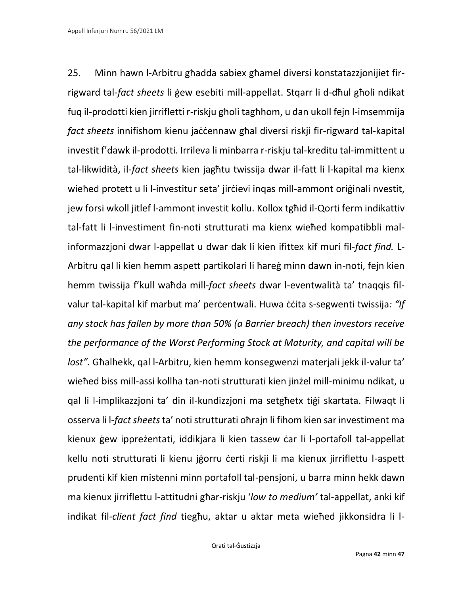25. Minn hawn l-Arbitru għadda sabiex għamel diversi konstatazzjonijiet firrigward tal-*fact sheets* li ġew esebiti mill-appellat. Stqarr li d-dħul għoli ndikat fuq il-prodotti kien jirrifletti r-riskju għoli tagħhom, u dan ukoll fejn l-imsemmija *fact sheets* innifishom kienu jaċċennaw għal diversi riskji fir-rigward tal-kapital investit f'dawk il-prodotti. Irrileva li minbarra r-riskju tal-kreditu tal-immittent u tal-likwidità, il-*fact sheets* kien jagħtu twissija dwar il-fatt li l-kapital ma kienx wieħed protett u li l-investitur seta' jirċievi inqas mill-ammont oriģinali nvestit, jew forsi wkoll jitlef l-ammont investit kollu. Kollox tgħid il-Qorti ferm indikattiv tal-fatt li l-investiment fin-noti strutturati ma kienx wieħed kompatibbli malinformazzjoni dwar l-appellat u dwar dak li kien ifittex kif muri fil-*fact find.* L-Arbitru qal li kien hemm aspett partikolari li ħareġ minn dawn in-noti, fejn kien hemm twissija f'kull waħda mill-*fact sheets* dwar l-eventwalità ta' tnaqqis filvalur tal-kapital kif marbut ma' perċentwali. Huwa ċċita s-segwenti twissija*: "If any stock has fallen by more than 50% (a Barrier breach) then investors receive the performance of the Worst Performing Stock at Maturity, and capital will be lost".* Għalhekk, qal l-Arbitru, kien hemm konsegwenzi materjali jekk il-valur ta' wieħed biss mill-assi kollha tan-noti strutturati kien jinżel mill-minimu ndikat, u qal li l-implikazzjoni ta' din il-kundizzjoni ma setgħetx tiġi skartata. Filwaqt li osserva li l-*fact sheets* ta' noti strutturati oħrajn li fihom kien sar investiment ma kienux ġew ippreżentati, iddikjara li kien tassew ċar li l-portafoll tal-appellat kellu noti strutturati li kienu jġorru ċerti riskji li ma kienux jirriflettu l-aspett prudenti kif kien mistenni minn portafoll tal-pensjoni, u barra minn hekk dawn ma kienux jirriflettu l-attitudni għar-riskju '*low to medium'* tal-appellat, anki kif indikat fil-*client fact find* tiegħu, aktar u aktar meta wieħed jikkonsidra li l-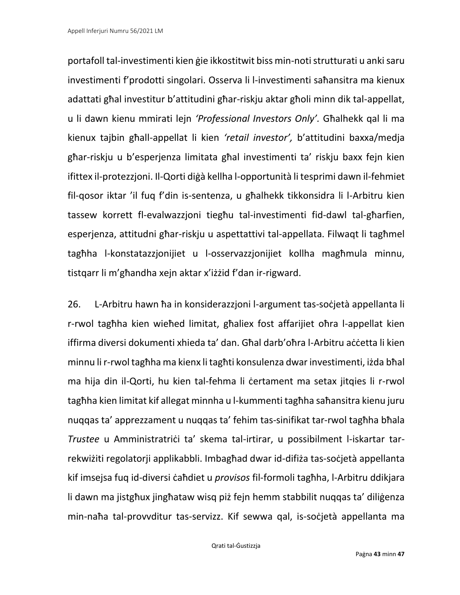portafoll tal-investimenti kien ġie ikkostitwit biss min-noti strutturati u ankisaru investimenti f'prodotti singolari. Osserva li l-investimenti saħansitra ma kienux adattati għal investitur b'attitudini għar-riskju aktar għoli minn dik tal-appellat, u li dawn kienu mmirati lejn *'Professional Investors Only'.* Għalhekk qal li ma kienux tajbin għall-appellat li kien *'retail investor',* b'attitudini baxxa/medja għar-riskju u b'esperjenza limitata għal investimenti ta' riskju baxx fejn kien ifittex il-protezzjoni. Il-Qorti diġà kellha l-opportunità li tesprimi dawn il-fehmiet fil-qosor iktar 'il fuq f'din is-sentenza, u għalhekk tikkonsidra li l-Arbitru kien tassew korrett fl-evalwazzjoni tiegħu tal-investimenti fid-dawl tal-għarfien, esperjenza, attitudni għar-riskju u aspettattivi tal-appellata. Filwaqt li tagħmel tagħha l-konstatazzjonijiet u l-osservazzjonijiet kollha magħmula minnu, tistqarr li m'għandha xejn aktar x'iżżid f'dan ir-rigward.

26. L-Arbitru hawn ħa in konsiderazzjoni l-argument tas-soċjetà appellanta li r-rwol tagħha kien wieħed limitat, għaliex fost affarijiet oħra l-appellat kien iffirma diversi dokumenti xhieda ta' dan. Għal darb'oħra l-Arbitru aċċetta li kien minnu li r-rwol tagħha ma kienx li tagħti konsulenza dwar investimenti, iżda bħal ma hija din il-Qorti, hu kien tal-fehma li ċertament ma setax jitqies li r-rwol tagħha kien limitat kif allegat minnha u l-kummenti tagħha saħansitra kienu juru nuqqas ta' apprezzament u nuqqas ta' fehim tas-sinifikat tar-rwol tagħha bħala *Trustee* u Amministratriċi ta' skema tal-irtirar, u possibilment l-iskartar tarrekwiżiti regolatorji applikabbli. Imbagħad dwar id-difiża tas-soċjetà appellanta kif imsejsa fuq id-diversi ċaħdiet u *provisos* fil-formoli tagħha, l-Arbitru ddikjara li dawn ma jistgħux jingħataw wisq piż fejn hemm stabbilit nuqqas ta' diliġenza min-naħa tal-provvditur tas-servizz. Kif sewwa qal, is-soċjetà appellanta ma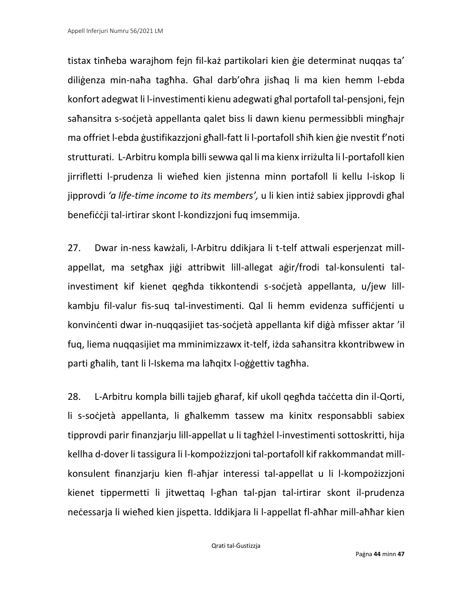tistax tinħeba warajhom fejn fil-każ partikolari kien ġie determinat nuqqas ta' diliġenza min-naħa tagħha. Għal darb'oħra jisħaq li ma kien hemm l-ebda konfort adegwat li l-investimenti kienu adegwati għal portafoll tal-pensjoni, fejn saħansitra s-soċjetà appellanta qalet biss li dawn kienu permessibbli mingħajr ma offriet l-ebda ġustifikazzjoni għall-fatt li l-portafoll sħiħ kien ġie nvestit f'noti strutturati. L-Arbitru kompla billi sewwa qal li ma kienx irriżulta li l-portafoll kien jirrifletti l-prudenza li wieħed kien jistenna minn portafoll li kellu l-iskop li jipprovdi *'a life-time income to its members',* u li kien intiż sabiex jipprovdi għal benefiċċji tal-irtirar skont l-kondizzjoni fuq imsemmija.

27. Dwar in-ness kawżali, l-Arbitru ddikjara li t-telf attwali esperjenzat millappellat, ma setgħax jiġi attribwit lill-allegat aġir/frodi tal-konsulenti talinvestiment kif kienet qegħda tikkontendi s-soċjetà appellanta, u/jew lillkambju fil-valur fis-suq tal-investimenti. Qal li hemm evidenza suffiċjenti u konvinċenti dwar in-nuqqasijiet tas-soċjetà appellanta kif diġà mfisser aktar 'il fuq, liema nuqqasijiet ma mminimizzawx it-telf, iżda saħansitra kkontribwew in parti għalih, tant li l-Iskema ma laħqitx l-oġġettiv tagħha.

28. L-Arbitru kompla billi tajjeb għaraf, kif ukoll qegħda taċċetta din il-Qorti, li s-soċjetà appellanta, li għalkemm tassew ma kinitx responsabbli sabiex tipprovdi parir finanzjarju lill-appellat u li tagħżel l-investimenti sottoskritti, hija kellha d-dover li tassigura li l-kompożizzjoni tal-portafoll kif rakkommandat millkonsulent finanzjarju kien fl-aħjar interessi tal-appellat u li l-kompożizzjoni kienet tippermetti li jitwettaq l-għan tal-pjan tal-irtirar skont il-prudenza neċessarja li wieħed kien jispetta. Iddikjara li l-appellat fl-aħħar mill-aħħar kien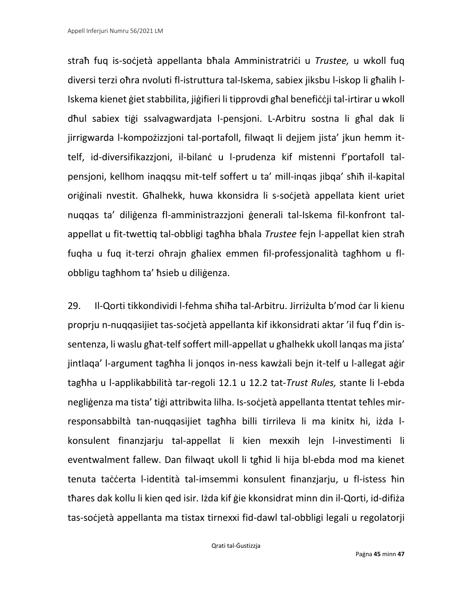straħ fuq is-soċjetà appellanta bħala Amministratriċi u *Trustee,* u wkoll fuq diversi terzi oħra nvoluti fl-istruttura tal-Iskema, sabiex jiksbu l-iskop li għalih l-Iskema kienet ġiet stabbilita, jiġifieri li tipprovdi għal benefiċċji tal-irtirar u wkoll dħul sabiex tiġi ssalvagwardjata l-pensjoni. L-Arbitru sostna li għal dak li jirrigwarda l-kompożizzjoni tal-portafoll, filwaqt li dejjem jista' jkun hemm ittelf, id-diversifikazzjoni, il-bilanċ u l-prudenza kif mistenni f'portafoll talpensjoni, kellhom inaqqsu mit-telf soffert u ta' mill-inqas jibqa' sħiħ il-kapital oriġinali nvestit. Għalhekk, huwa kkonsidra li s-soċjetà appellata kient uriet nuqqas ta' diliġenza fl-amministrazzjoni ġenerali tal-Iskema fil-konfront talappellat u fit-twettiq tal-obbligi tagħha bħala *Trustee* fejn l-appellat kien straħ fuqha u fuq it-terzi oħrajn għaliex emmen fil-professjonalità tagħhom u flobbligu tagħhom ta' ħsieb u diliġenza.

29. Il-Qorti tikkondividi l-fehma sħiħa tal-Arbitru. Jirriżulta b'mod ċar li kienu proprju n-nuqqasijiet tas-soċjetà appellanta kif ikkonsidrati aktar 'il fuq f'din issentenza, li waslu għat-telf soffert mill-appellat u għalhekk ukoll lanqas ma jista' jintlaqa' l-argument tagħha li jonqos in-ness kawżali bejn it-telf u l-allegat aġir tagħha u l-applikabbilità tar-regoli 12.1 u 12.2 tat-*Trust Rules,* stante li l-ebda negliġenza ma tista' tiġi attribwita lilha. Is-soċjetà appellanta ttentat teħles mirresponsabbiltà tan-nuqqasijiet tagħha billi tirrileva li ma kinitx hi, iżda lkonsulent finanzjarju tal-appellat li kien mexxih lejn l-investimenti li eventwalment fallew. Dan filwaqt ukoll li tgħid li hija bl-ebda mod ma kienet tenuta taċċerta l-identità tal-imsemmi konsulent finanzjarju, u fl-istess ħin tħares dak kollu li kien qed isir. Iżda kif ġie kkonsidrat minn din il-Qorti, id-difiża tas-soċjetà appellanta ma tistax tirnexxi fid-dawl tal-obbligi legali u regolatorji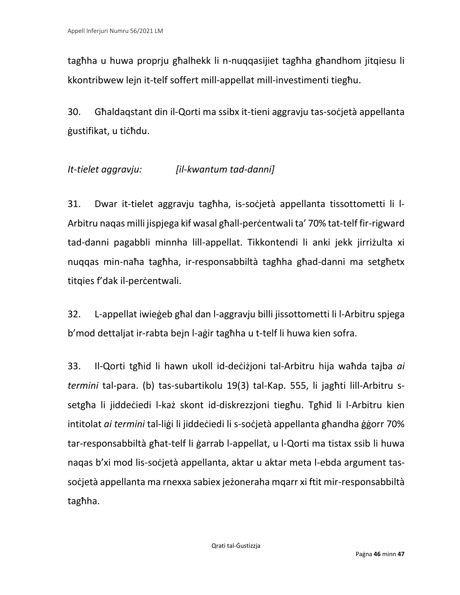tagħha u huwa proprju għalhekk li n-nuqqasijiet tagħha għandhom jitqiesu li kkontribwew lejn it-telf soffert mill-appellat mill-investimenti tiegħu.

30. Għaldaqstant din il-Qorti ma ssibx it-tieni aggravju tas-soċjetà appellanta ġustifikat, u tiċħdu.

## *It-tielet aggravju: [il-kwantum tad-danni]*

31. Dwar it-tielet aggravju tagħha, is-soċjetà appellanta tissottometti li l-Arbitru naqas milli jispjega kif wasal għall-perċentwali ta' 70% tat-telf fir-rigward tad-danni pagabbli minnha lill-appellat. Tikkontendi li anki jekk jirriżulta xi nuqqas min-naħa tagħha, ir-responsabbiltà tagħha għad-danni ma setgħetx titqies f'dak il-percentwali.

32. L-appellat iwieġeb għal dan l-aggravju billi jissottometti li l-Arbitru spjega b'mod dettaljat ir-rabta bejn l-aġir tagħha u t-telf li huwa kien sofra.

33. Il-Qorti tgħid li hawn ukoll id-deċiżjoni tal-Arbitru hija waħda tajba *ai termini* tal-para. (b) tas-subartikolu 19(3) tal-Kap. 555, li jagħti lill-Arbitru ssetgħa li jiddeċiedi l-każ skont id-diskrezzjoni tiegħu. Tgħid li l-Arbitru kien intitolat *ai termini* tal-liġi li jiddeċiedi li s-soċjetà appellanta għandha ġġorr 70% tar-responsabbiltà għat-telf li ġarrab l-appellat, u l-Qorti ma tistax ssib li huwa naqas b'xi mod lis-soċjetà appellanta, aktar u aktar meta l-ebda argument tassoċjetà appellanta ma rnexxa sabiex jeżoneraha mqarr xi ftit mir-responsabbiltà tagħha.